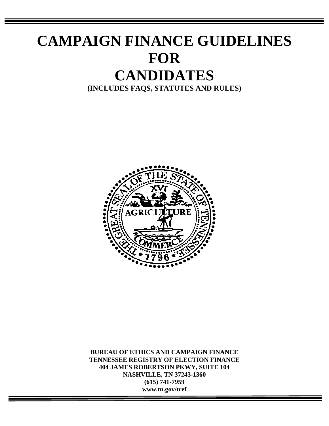# **CAMPAIGN FINANCE GUIDELINES FOR CANDIDATES (INCLUDES FAQS, STATUTES AND RULES)**



**BUREAU OF ETHICS AND CAMPAIGN FINANCE TENNESSEE REGISTRY OF ELECTION FINANCE 404 JAMES ROBERTSON PKWY, SUITE 104 NASHVILLE, TN 37243-1360 (615) 741-7959 www.tn.gov/tref**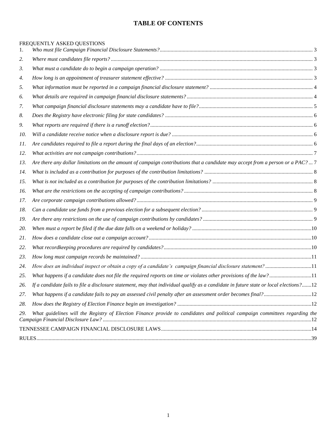# **TABLE OF CONTENTS**

| 1.         | FREQUENTLY ASKED QUESTIONS                                                                                                            |  |
|------------|---------------------------------------------------------------------------------------------------------------------------------------|--|
| 2.         |                                                                                                                                       |  |
| 3.         |                                                                                                                                       |  |
| 4.         |                                                                                                                                       |  |
| 5.         |                                                                                                                                       |  |
| 6.         |                                                                                                                                       |  |
| 7.         |                                                                                                                                       |  |
| 8.         |                                                                                                                                       |  |
| 9.         |                                                                                                                                       |  |
| 10.        |                                                                                                                                       |  |
| 11.        |                                                                                                                                       |  |
| 12.        |                                                                                                                                       |  |
| 13.        | Are there any dollar limitations on the amount of campaign contributions that a candidate may accept from a person or a PAC?  7       |  |
| 14.        |                                                                                                                                       |  |
| 15.        |                                                                                                                                       |  |
| 16.        |                                                                                                                                       |  |
| 17.        |                                                                                                                                       |  |
| 18.        |                                                                                                                                       |  |
| 19.        |                                                                                                                                       |  |
| <i>20.</i> |                                                                                                                                       |  |
| 21.        |                                                                                                                                       |  |
| 22.        |                                                                                                                                       |  |
| 23.        |                                                                                                                                       |  |
| 24.        | How does an individual inspect or obtain a copy of a candidate's campaign financial disclosure statement? 11                          |  |
| 25.        | What happens if a candidate does not file the required reports on time or violates other provisions of the law?11                     |  |
| 26.        | If a candidate fails to file a disclosure statement, may that individual qualify as a candidate in future state or local elections?12 |  |
| 27.        |                                                                                                                                       |  |
| 28.        |                                                                                                                                       |  |
| 29.        | What guidelines will the Registry of Election Finance provide to candidates and political campaign committees regarding the           |  |
|            |                                                                                                                                       |  |
|            |                                                                                                                                       |  |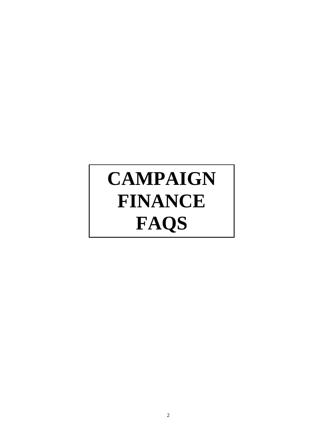# **CAMPAIGN FINANCE FAQS**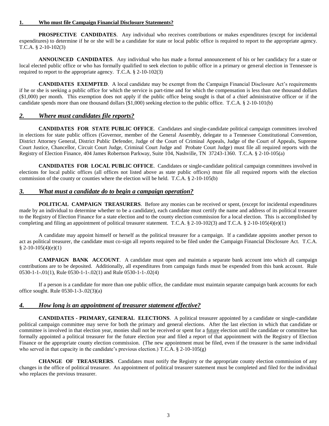#### <span id="page-3-0"></span>**1. Who must file Campaign Financial Disclosure Statements?**

**PROSPECTIVE CANDIDATES.** Any individual who receives contributions or makes expenditures (except for incidental expenditures) to determine if he or she will be a candidate for state or local public office is required to report to the appropriate agency. T.C.A. § 2-10-102(3)

**ANNOUNCED CANDIDATES**. Any individual who has made a formal announcement of his or her candidacy for a state or local elected public office or who has formally qualified to seek election to public office in a primary or general election in Tennessee is required to report to the appropriate agency. T.C.A. § 2-10-102(3)

**CANDIDATES EXEMPTED**. A local candidate may be exempt from the Campaign Financial Disclosure Act's requirements if he or she is seeking a public office for which the service is part-time and for which the compensation is less than one thousand dollars (\$1,000) per month. This exemption does not apply if the public office being sought is that of a chief administrative officer or if the candidate spends more than one thousand dollars (\$1,000) seeking election to the public office. T.C.A. § 2-10-101(b)

# <span id="page-3-1"></span>*2. Where must candidates file reports?*

**CANDIDATES FOR STATE PUBLIC OFFICE**. Candidates and single-candidate political campaign committees involved in elections for state public offices (Governor, member of the General Assembly, delegate to a Tennessee Constitutional Convention, District Attorney General, District Public Defender, Judge of the Court of Criminal Appeals, Judge of the Court of Appeals, Supreme Court Justice, Chancellor, Circuit Court Judge, Criminal Court Judge and Probate Court Judge) must file all required reports with the Registry of Election Finance, 404 James Robertson Parkway, Suite 104, Nashville, TN 37243-1360. T.C.A. § 2-10-105(a)

**CANDIDATES FOR LOCAL PUBLIC OFFICE**. Candidates or single-candidate political campaign committees involved in elections for local public offices (all offices not listed above as state public offices) must file all required reports with the election commission of the county or counties where the election will be held. T.C.A. § 2-10-105(b)

# <span id="page-3-2"></span>*3. What must a candidate do to begin a campaign operation?*

**POLITICAL CAMPAIGN TREASURERS**. Before any monies can be received or spent, (except for incidental expenditures made by an individual to determine whether to be a candidate), each candidate must certify the name and address of its political treasurer to the Registry of Election Finance for a state election and to the county election commission for a local election. This is accomplished by completing and filing an appointment of political treasurer statement. T.C.A. § 2-10-102(3) and T.C.A. § 2-10-105(4)(e)(1)

A candidate may appoint himself or herself as the political treasurer for a campaign. If a candidate appoints another person to act as political treasurer, the candidate must co-sign all reports required to be filed under the Campaign Financial Disclosure Act. T.C.A.  $§ 2-10-105(4)(e)(1)$ 

**CAMPAIGN BANK ACCOUNT**. A candidate must open and maintain a separate bank account into which all campaign contributions are to be deposited. Additionally, all expenditures from campaign funds must be expended from this bank account. Rule 0530-1-1-.01(1), Rule 0530-1-1-.02(1) and Rule 0530-1-1-.02(4)

If a person is a candidate for more than one public office, the candidate must maintain separate campaign bank accounts for each office sought. Rule 0530-1-3-.02(3)(a)

# <span id="page-3-3"></span>*4. How long is an appointment of treasurer statement effective?*

**CANDIDATES - PRIMARY, GENERAL ELECTIONS**. A political treasurer appointed by a candidate or single-candidate political campaign committee may serve for both the primary and general elections. After the last election in which that candidate or committee is involved in that election year, monies shall not be received or spent for a future election until the candidate or committee has formally appointed a political treasurer for the future election year and filed a report of that appointment with the Registry of Election Finance or the appropriate county election commission. (The new appointment must be filed, even if the treasurer is the same individual who served in that capacity in the candidate's previous election.) T.C.A.  $\S$  2-10-105(g)

**CHANGE OF TREASURERS**. Candidates must notify the Registry or the appropriate county election commission of any changes in the office of political treasurer. An appointment of political treasurer statement must be completed and filed for the individual who replaces the previous treasurer.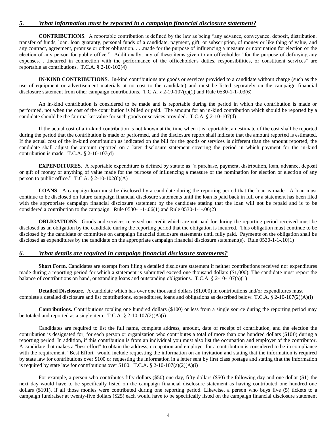# <span id="page-4-0"></span>*5. What information must be reported in a campaign financial disclosure statement?*

**CONTRIBUTIONS**. A reportable contribution is defined by the law as being "any advance, conveyance, deposit, distribution, transfer of funds, loan, loan guaranty, personal funds of a candidate, payment, gift, or subscription, of money or like thing of value, and any contract, agreement, promise or other obligation. . . .made for the purpose of influencing a measure or nomination for election or the election of any person for public office." Additionally, any of these items given to an officeholder "for the purpose of defraying any expenses. . .incurred in connection with the performance of the officeholder's duties, responsibilities, or constituent services" are reportable as contributions. T.C.A. § 2-10-102(4)

**IN-KIND CONTRIBUTIONS**. In-kind contributions are goods or services provided to a candidate without charge (such as the use of equipment or advertisement materials at no cost to the candidate) and must be listed separately on the campaign financial disclosure statement from other campaign contributions. T.C.A. § 2-10-107(c)(1) and Rule 0530-1-1-.03(6)

An in-kind contribution is considered to be made and is reportable during the period in which the contribution is made or performed, not when the cost of the contribution is billed or paid. The amount for an in-kind contribution which should be reported by a candidate should be the fair market value for such goods or services provided. T.C.A. § 2-10-107(d)

If the actual cost of a in-kind contribution is not known at the time when it is reportable, an estimate of the cost shall be reported during the period that the contribution is made or performed, and the disclosure report shall indicate that the amount reported is estimated. If the actual cost of the in-kind contribution as indicated on the bill for the goods or services is different than the amount reported, the candidate shall adjust the amount reported on a later disclosure statement covering the period in which payment for the in-kind contribution is made. T.C.A.  $\S$  2-10-107(d)

**EXPENDITURES**. A reportable expenditure is defined by statute as "a purchase, payment, distribution, loan, advance, deposit or gift of money or anything of value made for the purpose of influencing a measure or the nomination for election or election of any person to public office." T.C.A.  $\S$  2-10-102(6)(A)

**LOANS**. A campaign loan must be disclosed by a candidate during the reporting period that the loan is made. A loan must continue to be disclosed on future campaign financial disclosure statements until the loan is paid back in full or a statement has been filed with the appropriate campaign financial disclosure statement by the candidate stating that the loan will not be repaid and is to be considered a contribution to the campaign. Rule 0530-1-1-.06(1) and Rule 0530-1-1-.06(2)

**OBLIGATIONS**. Goods and services received on credit which are not paid for during the reporting period received must be disclosed as an obligation by the candidate during the reporting period that the obligation is incurred. This obligation must continue to be disclosed by the candidate or committee on campaign financial disclosure statements until fully paid. Payments on the obligation shall be disclosed as expenditures by the candidate on the appropriate campaign financial disclosure statement(s). Rule 0530-1-1-.10(1)

# <span id="page-4-1"></span>*6. What details are required in campaign financial disclosure statements?*

**Short Form.** Candidates are exempt from filing a detailed disclosure statement if neither contributions received nor expenditures made during a reporting period for which a statement is submitted exceed one thousand dollars (\$1,000). The candidate must report the balance of contributions on hand, outstanding loans and outstanding obligations. T.C.A.  $\S$  2-10-107(a)(1)

**Detailed Disclosure.** A candidate which has over one thousand dollars (\$1,000) in contributions and/or expenditures must complete a detailed disclosure and list contributions, expenditures, loans and obligations as described below. T.C.A. § 2-10-107(2)(A)(i)

**Contributions.** Contributions totaling one hundred dollars (\$100) or less from a single source during the reporting period may be totaled and reported as a single item. T.C.A.  $\S$  2-10-107(2)(A)(i)

Candidates are required to list the full name, complete address, amount, date of receipt of contribution, and the election the contribution is designated for, for each person or organization who contributes a total of more than one hundred dollars (\$100) during a reporting period. In addition, if this contribution is from an individual you must also list the occupation and employer of the contributor. A candidate that makes a "best effort" to obtain the address, occupation and employer for a contribution is considered to be in compliance with the requirement. "Best Effort" would include requesting the information on an invitation and stating that the information is required by state law for contributions over \$100 or requesting the information in a letter sent by first class postage and stating that the information is required by state law for contributions over \$100. T.C.A.  $\S$  2-10-107(a)(2)(A)(i)

For example, a person who contributes fifty dollars (\$50) one day, fifty dollars (\$50) the following day and one dollar (\$1) the next day would have to be specifically listed on the campaign financial disclosure statement as having contributed one hundred one dollars (\$101), if all those monies were contributed during one reporting period. Likewise, a person who buys five (5) tickets to a campaign fundraiser at twenty-five dollars (\$25) each would have to be specifically listed on the campaign financial disclosure statement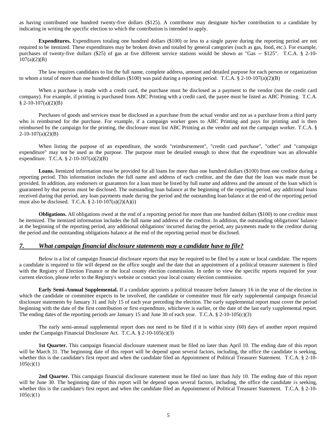as having contributed one hundred twenty-five dollars (\$125). A contributor may designate his/her contribution to a candidate by indicating in writing the specific election to which the contribution is intended to apply.

**Expenditures.** Expenditures totaling one hundred dollars (\$100) or less to a single payee during the reporting period are not required to be itemized. These expenditures may be broken down and totaled by general categories (such as gas, food, etc.). For example, purchases of twenty-five dollars (\$25) of gas at five different service stations would be shown as "Gas -- \$125". T.C.A. § 2-10-  $107(a)(2)(B)$ 

The law requires candidates to list the full name, complete address, amount and detailed purpose for each person or organization to whom a total of more than one hundred dollars (\$100) was paid during a reporting period. T.C.A.  $\S$  2-10-107(a)(2)(B)

When a purchase is made with a credit card, the purchase must be disclosed as a payment to the vendor (not the credit card company). For example, if printing is purchased from ABC Printing with a credit card, the payee must be listed as ABC Printing. T.C.A.  $§ 2-10-107(a)(2)(B)$ 

Purchases of goods and services must be disclosed as a purchase from the actual vendor and not as a purchase from a third party who is reimbursed for the purchase. For example, if a campaign worker goes to ABC Printing and pays for printing and is then reimbursed by the campaign for the printing, the disclosure must list ABC Printing as the vendor and not the campaign worker. T.C.A. §  $2-10-107(a)(2)(B)$ 

When listing the purpose of an expenditure, the words "reimbursement", "credit card purchase", "other" and "campaign expenditure" may not be used as the purpose. The purpose must be detailed enough to show that the expenditure was an allowable expenditure. T.C.A.  $\S 2-10-107(a)(2)(B)$ 

**Loans.** Itemized information must be provided for all loans for more than one hundred dollars (\$100) from one creditor during a reporting period. This information includes the full name and address of each creditor, and the date that the loan was made must be provided. In addition, any endorsers or guarantors for a loan must be listed by full name and address and the amount of the loan which is guaranteed by that person must be disclosed. The outstanding loan balance at the beginning of the reporting period, any additional loans received during that period, any loan payments made during the period and the outstanding loan balance at the end of the reporting period must also be disclosed. T.C.A.  $\S$  2-10-107(a)(2)(A)(i)

**Obligations.** All obligations owed at the end of a reporting period for more than one hundred dollars (\$100) to one creditor must be itemized. The itemized information includes the full name and address of the creditor. In addition, the outstanding obligations' balance at the beginning of the reporting period, any additional obligations' incurred during the period, any payments made to the creditor during the period and the outstanding obligations balance at the end of the reporting period must be disclosed.

# <span id="page-5-0"></span>*7. What campaign financial disclosure statements may a candidate have to file?*

Below is a list of campaign financial disclosure reports that may be required to be filed by a state or local candidate. The reports a candidate is required to file will depend on the office sought and the date that an appointment of a political treasurer statement is filed with the Registry of Election Finance or the local county election commission. In order to view the specific reports required for your current election, please refer to the Registry's website or contact your local county election commission.

**Early Semi-Annual Supplemental.** If a candidate appoints a political treasurer before January 16 in the year of the election in which the candidate or committee expects to be involved, the candidate or committee must file early supplemental campaign financial disclosure statements by January 31 and July 15 of each year preceding the election. The early supplemental report must cover the period beginning with the date of the first contribution or first expenditure, whichever is earlier, or the date of the last early supplemental report. The ending dates of the reporting periods are January 15 and June 30 of each year. T.C.A.  $\S$  2-10-105(c)(3)

The early semi-annual supplemental report does not need to be filed if it is within sixty (60) days of another report required under the Campaign Financial Disclosure Act. T.C.A. § 2-10-105(c)(3)

**1st Quarter.** This campaign financial disclosure statement must be filed no later than April 10. The ending date of this report will be March 31. The beginning date of this report will be depend upon several factors, including, the office the candidate is seeking, whether this is the candidate's first report and when the candidate filed an Appointment of Political Treasurer Statement. T.C.A. § 2-10- $105(c)(1)$ 

**2nd Quarter.** This campaign financial disclosure statement must be filed no later than July 10. The ending date of this report will be June 30. The beginning date of this report will be depend upon several factors, including, the office the candidate is seeking, whether this is the candidate's first report and when the candidate filed an Appointment of Political Treasurer Statement. T.C.A. § 2-10- $105(c)(1)$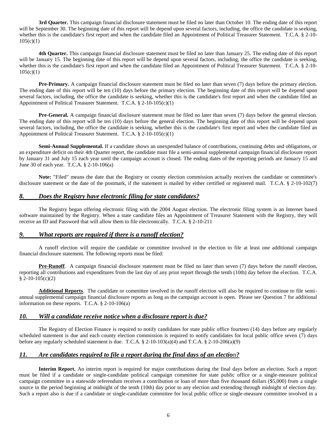**3rd Quarter.** This campaign financial disclosure statement must be filed no later than October 10. The ending date of this report will be September 30. The beginning date of this report will be depend upon several factors, including, the office the candidate is seeking, whether this is the candidate's first report and when the candidate filed an Appointment of Political Treasurer Statement. T.C.A. § 2-10- $105(c)(1)$ 

**4th Quarter.** This campaign financial disclosure statement must be filed no later than January 25. The ending date of this report will be January 15. The beginning date of this report will be depend upon several factors, including, the office the candidate is seeking, whether this is the candidate's first report and when the candidate filed an Appointment of Political Treasurer Statement. T.C.A. § 2-10- $105(c)(1)$ 

**Pre-Primary.** A campaign financial disclosure statement must be filed no later than seven (7) days before the primary election. The ending date of this report will be ten (10) days before the primary election. The beginning date of this report will be depend upon several factors, including, the office the candidate is seeking, whether this is the candidate's first report and when the candidate filed an Appointment of Political Treasurer Statement. T.C.A. § 2-10-105(c)(1)

**Pre-General.** A campaign financial disclosure statement must be filed no later than seven (7) days before the general election. The ending date of this report will be ten (10) days before the general election. The beginning date of this report will be depend upon several factors, including, the office the candidate is seeking, whether this is the candidate's first report and when the candidate filed an Appointment of Political Treasurer Statement. T.C.A. § 2-10-105(c)(1)

**Semi-Annual Supplemental.** If a candidate shows an unexpended balance of contributions, continuing debts and obligations, or an expenditure deficit on their 4th Quarter report, the candidate must file a semi-annual supplemental campaign financial disclosure report by January 31 and July 15 each year until the campaign account is closed. The ending dates of the reporting periods are January 15 and June 30 of each year. T.C.A. § 2-10-106(a)

**Note:** "Filed" means the date that the Registry or county election commission actually receives the candidate or committee's disclosure statement or the date of the postmark, if the statement is mailed by either certified or registered mail. T.C.A. § 2-10-102(7)

# <span id="page-6-0"></span>*8. Does the Registry have electronic filing for state candidates?*

The Registry began offering electronic filing with the 2004 August election. The electronic filing system is an Internet based software maintained by the Registry. When a state candidate files an Appointment of Treasurer Statement with the Registry, they will receive an ID and Password that will allow them to file electronically. T.C.A. § 2-10-211

# <span id="page-6-1"></span>*9. What reports are required if there is a runoff election?*

A runoff election will require the candidate or committee involved in the election to file at least one additional campaign financial disclosure statement. The following reports must be filed:

**Pre-Runoff**. A campaign financial disclosure statement must be filed no later than seven (7) days before the runoff election, reporting all contributions and expenditures from the last day of any prior report through the tenth (10th) day before the election. T.C.A.  $$2-10-105(c)(2)$ 

**Additional Reports**. The candidate or committee involved in the runoff election will also be required to continue to file semiannual supplemental campaign financial disclosure reports as long as the campaign account is open. Please see Question 7 for additional information on these reports. T.C.A. § 2-10-106(a)

# <span id="page-6-2"></span>*10. Will a candidate receive notice when a disclosure report is due?*

The Registry of Election Finance is required to notify candidates for state public office fourteen (14) days before any regularly scheduled statement is due and each county election commission is required to notify candidates for local public office seven (7) days before any regularly scheduled statement is due. T.C.A.  $\S$  2-10-103(a)(4) and T.C.A.  $\S$  2-10-206(a)(9)

# <span id="page-6-3"></span>*11. Are candidates required to file a report during the final days of an election?*

**Interim Report.** An interim report is required for major contributions during the final days before an election. Such a report must be filed if a candidate or single-candidate political campaign committee for state public office or a single-measure political campaign committee in a statewide referendum receives a contribution or loan of more than five thousand dollars (\$5,000) from a single source in the period beginning at midnight of the tenth (10th) day prior to any election and extending through midnight of election day. Such a report also is due if a candidate or single-candidate committee for local public office or single-measure committee involved in a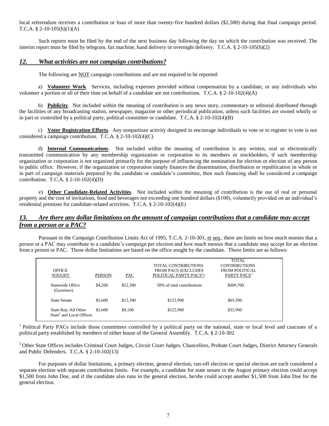local referendum receives a contribution or loan of more than twenty-five hundred dollars (\$2,500) during that final campaign period. T.C.A.  $\S$  2-10-105(h)(1)(A)

Such reports must be filed by the end of the next business day following the day on which the contribution was received. The interim report must be filed by telegram, fax machine, hand delivery or overnight delivery. T.C.A. § 2-10-105(h)(2)

# <span id="page-7-0"></span>*12. What activities are not campaign contributions?*

The following are NOT campaign contributions and are not required to be reported:

a) **Volunteer Work**. Services, including expenses provided without compensation by a candidate, or any individuals who volunteer a portion or all of their time on behalf of a candidate are not contributions. T.C.A. § 2-10-102(4)(A)

b) **Publicity**. Not included within the meaning of contribution is any news story, commentary or editorial distributed through the facilities of any broadcasting station, newspaper, magazine or other periodical publication, unless such facilities are owned wholly or in part or controlled by a political party, political committee or candidate. T.C.A. § 2-10-102(4)(B)

c) **Voter Registration Efforts**. Any nonpartisan activity designed to encourage individuals to vote or to register to vote is not considered a campaign contribution. T.C.A. § 2-10-102(4)(C)

d) **Internal Communications**. Not included within the meaning of contribution is any written, oral or electronically transmitted communication by any membership organization or corporation to its members or stockholders, if such membership organization or corporation is not organized primarily for the purpose of influencing the nomination for election or election of any person to public office. However, if the organization or corporation simply finances the dissemination, distribution or republication in whole or in part of campaign materials prepared by the candidate or candidate's committee, then such financing shall be considered a campaign contribution. T.C.A. § 2-10-102(4)(D)

e) **Other Candidate-Related Activities**. Not included within the meaning of contribution is the use of real or personal property and the cost of invitations, food and beverages not exceeding one hundred dollars (\$100), voluntarily provided on an individual's residential premises for candidate-related activities. T.C.A. § 2-10-102(4)(E)

# <span id="page-7-1"></span>*13. Are there any dollar limitations on the amount of campaign contributions that a candidate may accept from a person or a PAC?*

Pursuant to the Campaign Contribution Limits Act of 1995, T.C.A. 2-10-301, et seq., there are limits on how much monies that a person or a PAC may contribute to a candidate's campaign per election and how much monies that a candidate may accept for an election from a person or PAC. Those dollar limitations are based on the office sought by the candidate. Those limits are as follows:

| <b>OFFICE</b><br><b>SOUGHT</b>                                | <b>PERSON</b> | <b>PAC</b> | TOTAL CONTRIBUTIONS<br><b>FROM PACS (EXCLUDES)</b><br>POLITICAL PARTY PACS <sup>1</sup> ) | <b>TOTAL</b><br><b>CONTRIBUTIONS</b><br><b>FROM POLITICAL</b><br>PARTY PACS <sup>1</sup> |
|---------------------------------------------------------------|---------------|------------|-------------------------------------------------------------------------------------------|------------------------------------------------------------------------------------------|
| Statewide Office<br>(Governor)                                | \$4,200       | \$12,300   | 50% of total contributions                                                                | \$409,700                                                                                |
| <b>State Senate</b>                                           | \$1,600       | \$12,300   | \$122,900                                                                                 | \$65,500                                                                                 |
| State Rep / All Other<br>State <sup>2</sup> and Local Offices | \$1,600       | \$8,100    | \$122,900                                                                                 | \$32,900                                                                                 |

<sup>1</sup> Political Party PACs include those committees controlled by a political party on the national, state or local level and caucuses of a political party established by members of either house of the General Assembly. T.C.A. § 2-10-302

<sup>2</sup> Other State Offices includes Criminal Court Judges, Circuit Court Judges, Chancellors, Probate Court Judges, District Attorney Generals and Public Defenders. T.C.A. § 2-10-102(13)

For purposes of dollar limitations, a primary election, general election, run-off election or special election are each considered a separate election with separate contribution limits. For example, a candidate for state senate in the August primary election could accept \$1,500 from John Doe, and if the candidate also runs in the general election, he/she could accept another \$1,500 from John Doe for the general election.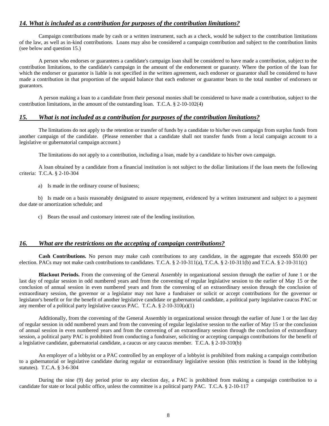# <span id="page-8-0"></span>*14. What is included as a contribution for purposes of the contribution limitations?*

Campaign contributions made by cash or a written instrument, such as a check, would be subject to the contribution limitations of the law, as well as in-kind contributions. Loans may also be considered a campaign contribution and subject to the contribution limits (see below and question 15.)

A person who endorses or guarantees a candidate's campaign loan shall be considered to have made a contribution, subject to the contribution limitations, to the candidate's campaign in the amount of the endorsement or guaranty. Where the portion of the loan for which the endorser or guarantor is liable is not specified in the written agreement, each endorser or guarantor shall be considered to have made a contribution in that proportion of the unpaid balance that each endorser or guarantor bears to the total number of endorsers or guarantors.

 A person making a loan to a candidate from their personal monies shall be considered to have made a contribution, subject to the contribution limitations, in the amount of the outstanding loan. T.C.A. § 2-10-102(4)

# <span id="page-8-1"></span>*15. What is not included as a contribution for purposes of the contribution limitations?*

The limitations do not apply to the retention or transfer of funds by a candidate to his/her own campaign from surplus funds from another campaign of the candidate. (Please remember that a candidate shall not transfer funds from a local campaign account to a legislative or gubernatorial campaign account.)

The limitations do not apply to a contribution, including a loan, made by a candidate to his/her own campaign.

A loan obtained by a candidate from a financial institution is not subject to the dollar limitations if the loan meets the following criteria: T.C.A. § 2-10-304

a) Is made in the ordinary course of business;

b) Is made on a basis reasonably designated to assure repayment, evidenced by a written instrument and subject to a payment due date or amortization schedule; and

c) Bears the usual and customary interest rate of the lending institution.

# <span id="page-8-2"></span>*16. What are the restrictions on the accepting of campaign contributions?*

**Cash Contributions.** No person may make cash contributions to any candidate, in the aggregate that exceeds \$50.00 per election. PACs may not make cash contributions to candidates. T.C.A. § 2-10-311(a), T.C.A. § 2-10-311(b) and T.C.A. § 2-10-311(c)

**Blackout Periods.** From the convening of the General Assembly in organizational session through the earlier of June 1 or the last day of regular session in odd numbered years and from the convening of regular legislative session to the earlier of May 15 or the conclusion of annual session in even numbered years and from the convening of an extraordinary session through the conclusion of extraordinary session, the governor or a legislator may not have a fundraiser or solicit or accept contributions for the governor or legislator's benefit or for the benefit of another legislative candidate or gubernatorial candidate, a political party legislative caucus PAC or any member of a political party legislative caucus PAC. T.C.A.  $\S$  2-10-310(a)(1)

Additionally, from the convening of the General Assembly in organizational session through the earlier of June 1 or the last day of regular session in odd numbered years and from the convening of regular legislative session to the earlier of May 15 or the conclusion of annual session in even numbered years and from the convening of an extraordinary session through the conclusion of extraordinary session, a political party PAC is prohibited from conducting a fundraiser, soliciting or accepting campaign contributions for the benefit of a legislative candidate, gubernatorial candidate, a caucus or any caucus member. T.C.A. § 2-10-310(b)

An employer of a lobbyist or a PAC controlled by an employer of a lobbyist is prohibited from making a campaign contribution to a gubernatorial or legislative candidate during regular or extraordinary legislative session (this restriction is found in the lobbying statutes). T.C.A. § 3-6-304

During the nine (9) day period prior to any election day, a PAC is prohibited from making a campaign contribution to a candidate for state or local public office, unless the committee is a political party PAC. T.C.A. § 2-10-117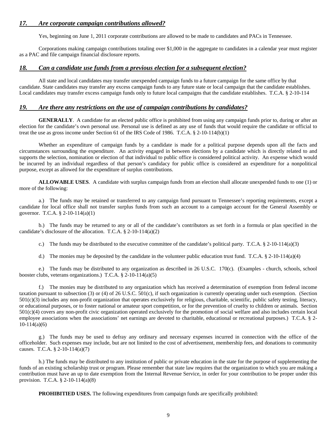# <span id="page-9-0"></span>*17. Are corporate campaign contributions allowed?*

Yes, beginning on June 1, 2011 corporate contributions are allowed to be made to candidates and PACs in Tennessee.

 Corporations making campaign contributions totaling over \$1,000 in the aggregate to candidates in a calendar year must register as a PAC and file campaign financial disclosure reports.

# <span id="page-9-1"></span>*18. Can a candidate use funds from a previous election for a subsequent election?*

 All state and local candidates may transfer unexpended campaign funds to a future campaign for the same office by that candidate. State candidates may transfer any excess campaign funds to any future state or local campaign that the candidate establishes. Local candidates may transfer excess campaign funds only to future local campaigns that the candidate establishes. T.C.A. § 2-10-114

# <span id="page-9-2"></span>*19. Are there any restrictions on the use of campaign contributions by candidates?*

**GENERALLY**. A candidate for an elected public office is prohibited from using any campaign funds prior to, during or after an election for the candidate's own personal use. Personal use is defined as any use of funds that would require the candidate or official to treat the use as gross income under Section 61 of the IRS Code of 1986. T.C.A. § 2-10-114(b)(1)

 Whether an expenditure of campaign funds by a candidate is made for a political purpose depends upon all the facts and circumstances surrounding the expenditure. An activity engaged in between elections by a candidate which is directly related to and supports the selection, nomination or election of that individual to public office is considered political activity. An expense which would be incurred by an individual regardless of that person's candidacy for public office is considered an expenditure for a nonpolitical purpose, except as allowed for the expenditure of surplus contributions.

 **ALLOWABLE USES**. A candidate with surplus campaign funds from an election shall allocate unexpended funds to one (1) or more of the following:

 a.) The funds may be retained or transferred to any campaign fund pursuant to Tennessee's reporting requirements, except a candidate for local office shall not transfer surplus funds from such an account to a campaign account for the General Assembly or governor. T.C.A. § 2-10-114(a)(1)

 b.) The funds may be returned to any or all of the candidate's contributors as set forth in a formula or plan specified in the candidate's disclosure of the allocation. T.C.A. § 2-10-114(a)(2)

c.) The funds may be distributed to the executive committee of the candidate's political party. T.C.A.  $\S$  2-10-114(a)(3)

d.) The monies may be deposited by the candidate in the volunteer public education trust fund. T.C.A. § 2-10-114(a)(4)

 e.) The funds may be distributed to any organization as described in 26 U.S.C. 170(c). (Examples - church, schools, school booster clubs, veterans organizations.) T.C.A. § 2-10-114(a)(5)

 f.) The monies may be distributed to any organization which has received a determination of exemption from federal income taxation pursuant to subsection (3) or (4) of 26 U.S.C. 501(c), if such organization is currently operating under such exemption. (Section  $501(c)(3)$  includes any non-profit organization that operates exclusively for religious, charitable, scientific, public safety testing, literacy, or educational purposes, or to foster national or amateur sport competition, or for the prevention of cruelty to children or animals. Section 501(c)(4) covers any non-profit civic organization operated exclusively for the promotion of social welfare and also includes certain local employee associations when the associations' net earnings are devoted to charitable, educational or recreational purposes.) T.C.A. § 2- 10-114(a)(6)

 g.) The funds may be used to defray any ordinary and necessary expenses incurred in connection with the office of the officeholder. Such expenses may include, but are not limited to the cost of advertisement, membership fees, and donations to community causes. T.C.A. § 2-10-114(a)(7)

 h.) The funds may be distributed to any institution of public or private education in the state for the purpose of supplementing the funds of an existing scholarship trust or program. Please remember that state law requires that the organization to which you are making a contribution must have an up to date exemption from the Internal Revenue Service, in order for your contribution to be proper under this provision. T.C.A. § 2-10-114(a)(8)

**PROHIBITIED USES.** The following expenditures from campaign funds are specifically prohibited: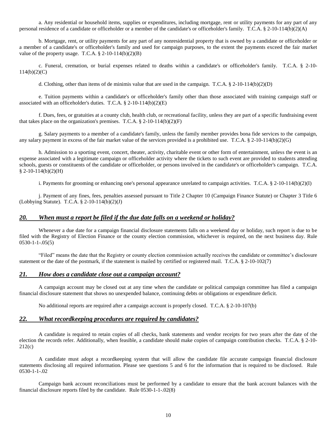a. Any residential or household items, supplies or expenditures, including mortgage, rent or utility payments for any part of any personal residence of a candidate or officeholder or a member of the candidate's or officeholder's family. T.C.A. § 2-10-114(b)(2)(A)

b. Mortgage, rent, or utility payments for any part of any nonresidential property that is owned by a candidate or officeholder or a member of a candidate's or officeholder's family and used for campaign purposes, to the extent the payments exceed the fair market value of the property usage. T.C.A. § 2-10-114(b)(2)(B)

c. Funeral, cremation, or burial expenses related to deaths within a candidate's or officeholder's family. T.C.A. § 2-10- 114(b)(2)(C)

d. Clothing, other than items of de minimis value that are used in the campaign. T.C.A.  $\S$  2-10-114(b)(2)(D)

e. Tuition payments within a candidate's or officeholder's family other than those associated with training campaign staff or associated with an officeholder's duties. T.C.A.  $\S$  2-10-114(b)(2)(E)

f. Dues, fees, or gratuities at a county club, health club, or recreational facility, unless they are part of a specific fundraising event that takes place on the organization's premises. T.C.A.  $\S$  2-10-114(b)(2)(F)

g. Salary payments to a member of a candidate's family, unless the family member provides bona fide services to the campaign, any salary payment in excess of the fair market value of the services provided is a prohibited use. T.C.A.  $\S$  2-10-114(b)(2)(G)

h. Admission to a sporting event, concert, theater, activity, charitable event or other form of entertainment, unless the event is an expense associated with a legitimate campaign or officeholder activity where the tickets to such event are provided to students attending schools, guests or constituents of the candidate or officeholder, or persons involved in the candidate's or officeholder's campaign. T.C.A.  $$ 2-10-114(b)(2)(H)$ 

i. Payments for grooming or enhancing one's personal appearance unrelated to campaign activities. T.C.A. § 2-10-114(b)(2)(I)

j. Payment of any fines, fees, penalties assessed pursuant to Title 2 Chapter 10 (Campaign Finance Statute) or Chapter 3 Title 6 (Lobbying Statute). T.C.A. § 2-10-114(b)(2)(J)

# <span id="page-10-0"></span>*20. When must a report be filed if the due date falls on a weekend or holiday?*

Whenever a due date for a campaign financial disclosure statements falls on a weekend day or holiday, such report is due to be filed with the Registry of Election Finance or the county election commission, whichever is required, on the next business day. Rule 0530-1-1-.05(5)

"Filed" means the date that the Registry or county election commission actually receives the candidate or committee's disclosure statement or the date of the postmark, if the statement is mailed by certified or registered mail.T.C.A. § 2-10-102(7)

#### <span id="page-10-1"></span>*21. How does a candidate close out a campaign account?*

A campaign account may be closed out at any time when the candidate or political campaign committee has filed a campaign financial disclosure statement that shows no unexpended balance, continuing debts or obligations or expenditure deficit.

No additional reports are required after a campaign account is properly closed. T.C.A. § 2-10-107(b)

## <span id="page-10-2"></span>*22. What recordkeeping procedures are required by candidates?*

A candidate is required to retain copies of all checks, bank statements and vendor receipts for two years after the date of the election the records refer. Additionally, when feasible, a candidate should make copies of campaign contribution checks. T.C.A. § 2-10- 212(c)

A candidate must adopt a recordkeeping system that will allow the candidate file accurate campaign financial disclosure statements disclosing all required information. Please see questions 5 and 6 for the information that is required to be disclosed. Rule 0530-1-1-.02

Campaign bank account reconciliations must be performed by a candidate to ensure that the bank account balances with the financial disclosure reports filed by the candidate. Rule 0530-1-1-.02(8)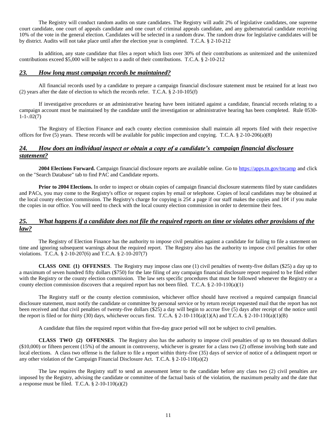The Registry will conduct random audits on state candidates. The Registry will audit 2% of legislative candidates, one supreme court candidate, one court of appeals candidate and one court of criminal appeals candidate, and any gubernatorial candidate receiving 10% of the vote in the general election. Candidates will be selected in a random draw. The random draw for legislative candidates will be by district. Audits will not take place until after the election year is completed. T.C.A. § 2-10-212

In addition, any state candidate that files a report which lists over 30% of their contributions as unitemized and the unitemized contributions exceed \$5,000 will be subject to a audit of their contributions. T.C.A. § 2-10-212

# <span id="page-11-0"></span>*23. How long must campaign records be maintained?*

All financial records used by a candidate to prepare a campaign financial disclosure statement must be retained for at least two (2) years after the date of election to which the records refer. T.C.A. § 2-10-105(f)

If investigative procedures or an administrative hearing have been initiated against a candidate, financial records relating to a campaign account must be maintained by the candidate until the investigation or administrative hearing has been completed. Rule 0530-  $1 - 1 - .02(7)$ 

The Registry of Election Finance and each county election commission shall maintain all reports filed with their respective offices for five (5) years. These records will be available for public inspection and copying. T.C.A.  $\S$  2-10-206(a)(8)

# <span id="page-11-1"></span>*24. How does an individual inspect or obtain a copy of a candidate's campaign financial disclosure statement?*

**2004 Elections Forward.** Campaign financial disclosure reports are available online. Go to<https://apps.tn.gov/tncamp> and click on the "Search Database" tab to find PAC and Candidate reports.

**Prior to 2004 Elections.** In order to inspect or obtain copies of campaign financial disclosure statements filed by state candidates and PACs, you may come to the Registry's office or request copies by email or telephone. Copies of local candidates may be obtained at the local county election commission. The Registry's charge for copying is  $25¢$  a page if our staff makes the copies and  $10¢$  if you make the copies in our office. You will need to check with the local county election commission in order to determine their fees.

# <span id="page-11-2"></span>*25. What happens if a candidate does not file the required reports on time or violates other provisions of the law?*

The Registry of Election Finance has the authority to impose civil penalties against a candidate for failing to file a statement on time and ignoring subsequent warnings about the required report. The Registry also has the authority to impose civil penalties for other violations. T.C.A. § 2-10-207(6) and T.C.A. § 2-10-207(7)

**CLASS ONE (1) OFFENSES**. The Registry may impose class one (1) civil penalties of twenty-five dollars (\$25) a day up to a maximum of seven hundred fifty dollars (\$750) for the late filing of any campaign financial disclosure report required to be filed either with the Registry or the county election commission. The law sets specific procedures that must be followed whenever the Registry or a county election commission discovers that a required report has not been filed. T.C.A.  $\S$  2-10-110(a)(1)

The Registry staff or the county election commission, whichever office should have received a required campaign financial disclosure statement, must notify the candidate or committee by personal service or by return receipt requested mail that the report has not been received and that civil penalties of twenty-five dollars (\$25) a day will begin to accrue five (5) days after receipt of the notice until the report is filed or for thirty (30) days, whichever occurs first. T.C.A.  $\S$  2-10-110(a)(1)(A) and T.C.A.  $\S$  2-10-110(a)(1)(B)

A candidate that files the required report within that five-day grace period will not be subject to civil penalties.

**CLASS TWO (2) OFFENSES**. The Registry also has the authority to impose civil penalties of up to ten thousand dollars (\$10,000) or fifteen percent (15%) of the amount in controversy, whichever is greater for a class two (2) offense involving both state and local elections. A class two offense is the failure to file a report within thirty-five (35) days of service of notice of a delinquent report or any other violation of the Campaign Financial Disclosure Act. T.C.A. § 2-10-110(a)(2)

The law requires the Registry staff to send an assessment letter to the candidate before any class two (2) civil penalties are imposed by the Registry, advising the candidate or committee of the factual basis of the violation, the maximum penalty and the date that a response must be filed. T.C.A.  $\S$  2-10-110(a)(2)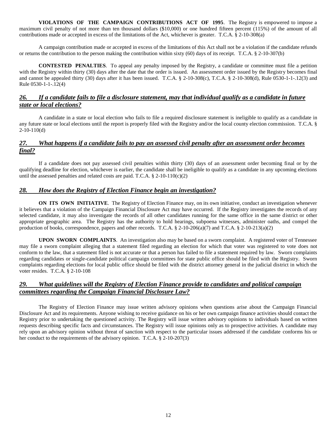**VIOLATIONS OF THE CAMPAIGN CONTRIBUTIONS ACT OF 1995**. The Registry is empowered to impose a maximum civil penalty of not more than ten thousand dollars (\$10,000) or one hundred fifteen percent (115%) of the amount of all contributions made or accepted in excess of the limitations of the Act, whichever is greater. T.C.A. § 2-10-308(a)

A campaign contribution made or accepted in excess of the limitations of this Act shall not be a violation if the candidate refunds or returns the contribution to the person making the contribution within sixty (60) days of its receipt. T.C.A. § 2-10-307(b)

**CONTESTED PENALTIES**. To appeal any penalty imposed by the Registry, a candidate or committee must file a petition with the Registry within thirty (30) days after the date that the order is issued. An assessment order issued by the Registry becomes final and cannot be appealed thirty (30) days after it has been issued. T.C.A. § 2-10-308(c), T.C.A. § 2-10-308(d), Rule 0530-1-1-.12(3) and Rule 0530-1-1-.12(4)

# <span id="page-12-0"></span>*26. If a candidate fails to file a disclosure statement, may that individual qualify as a candidate in future state or local elections?*

A candidate in a state or local election who fails to file a required disclosure statement is ineligible to qualify as a candidate in any future state or local elections until the report is properly filed with the Registry and/or the local county election commission. T.C.A. § 2-10-110(d)

# <span id="page-12-1"></span>*27. What happens if a candidate fails to pay an assessed civil penalty after an assessment order becomes final?*

If a candidate does not pay assessed civil penalties within thirty (30) days of an assessment order becoming final or by the qualifying deadline for election, whichever is earlier, the candidate shall be ineligible to qualify as a candidate in any upcoming elections until the assessed penalties and related costs are paid. T.C.A.  $\S$  2-10-110(c)(2)

# <span id="page-12-2"></span>*28. How does the Registry of Election Finance begin an investigation?*

**ON ITS OWN INITIATIVE.** The Registry of Election Finance may, on its own initiative, conduct an investigation whenever it believes that a violation of the Campaign Financial Disclosure Act may have occurred. If the Registry investigates the records of any selected candidate, it may also investigate the records of all other candidates running for the same office in the same district or other appropriate geographic area. The Registry has the authority to hold hearings, subpoena witnesses, administer oaths, and compel the production of books, correspondence, papers and other records. T.C.A.  $\S$  2-10-206(a)(7) and T.C.A.  $\S$  2-10-213(a)(2)

**UPON SWORN COMPLAINTS**. An investigation also may be based on a sworn complaint. A registered voter of Tennessee may file a sworn complaint alleging that a statement filed regarding an election for which that voter was registered to vote does not conform to the law, that a statement filed is not accurate or that a person has failed to file a statement required by law. Sworn complaints regarding candidates or single-candidate political campaign committees for state public office should be filed with the Registry. Sworn complaints regarding elections for local public office should be filed with the district attorney general in the judicial district in which the voter resides. T.C.A. § 2-10-108

# <span id="page-12-3"></span>*29. What guidelines will the Registry of Election Finance provide to candidates and political campaign committees regarding the Campaign Financial Disclosure Law?*

The Registry of Election Finance may issue written advisory opinions when questions arise about the Campaign Financial Disclosure Act and its requirements. Anyone wishing to receive guidance on his or her own campaign finance activities should contact the Registry prior to undertaking the questioned activity. The Registry will issue written advisory opinions to individuals based on written requests describing specific facts and circumstances. The Registry will issue opinions only as to prospective activities. A candidate may rely upon an advisory opinion without threat of sanction with respect to the particular issues addressed if the candidate conforms his or her conduct to the requirements of the advisory opinion. T.C.A. § 2-10-207(3)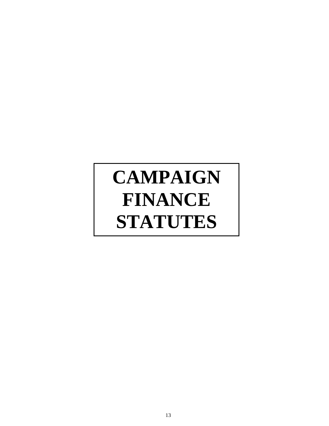# **CAMPAIGN FINANCE STATUTES**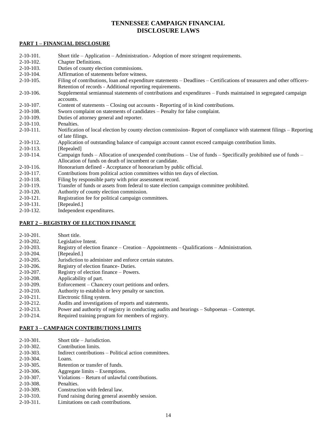# **TENNESSEE CAMPAIGN FINANCIAL DISCLOSURE LAWS**

#### <span id="page-14-0"></span>**PART 1 – FINANCIAL DISCLOSURE**

| $2-10-101$ .     | Short title – Application – Administration. - Adoption of more stringent requirements.                                                                                               |
|------------------|--------------------------------------------------------------------------------------------------------------------------------------------------------------------------------------|
| $2-10-102$ .     | <b>Chapter Definitions.</b>                                                                                                                                                          |
| $2-10-103$ .     | Duties of county election commissions.                                                                                                                                               |
| $2-10-104.$      | Affirmation of statements before witness.                                                                                                                                            |
| $2-10-105$ .     | Filing of contributions, loan and expenditure statements – Deadlines – Certifications of treasurers and other officers-<br>Retention of records - Additional reporting requirements. |
| $2-10-106$ .     | Supplemental semiannual statements of contributions and expenditures - Funds maintained in segregated campaign<br>accounts.                                                          |
| $2 - 10 - 107$ . | Content of statements – Closing out accounts - Reporting of in kind contributions.                                                                                                   |
| $2-10-108$ .     | Sworn complaint on statements of candidates - Penalty for false complaint.                                                                                                           |
| $2-10-109$ .     | Duties of attorney general and reporter.                                                                                                                                             |
| $2-10-110$ .     | Penalties.                                                                                                                                                                           |
| $2-10-111.$      | Notification of local election by county election commission-Report of compliance with statement filings – Reporting                                                                 |
|                  | of late filings.                                                                                                                                                                     |
| $2 - 10 - 112.$  | Application of outstanding balance of campaign account cannot exceed campaign contribution limits.                                                                                   |
| $2-10-113.$      | [Repealed]                                                                                                                                                                           |
| $2-10-114.$      | Campaign funds – Allocation of unexpended contributions – Use of funds – Specifically prohibited use of funds –                                                                      |
|                  | Allocation of funds on death of incumbent or candidate.                                                                                                                              |
| $2-10-116$ .     | Honorarium defined - Acceptance of honorarium by public official.                                                                                                                    |
| $2 - 10 - 117$ . | Contributions from political action committees within ten days of election.                                                                                                          |
| $2-10-118.$      | Filing by responsible party with prior assessment record.                                                                                                                            |
| $2-10-119.$      | Transfer of funds or assets from federal to state election campaign committee prohibited.                                                                                            |
| $2 - 10 - 120.$  | Authority of county election commission.                                                                                                                                             |
| $2-10-121.$      | Registration fee for political campaign committees.                                                                                                                                  |
| $2-10-131.$      | [Repealed.]                                                                                                                                                                          |
| $2-10-132.$      | Independent expenditures.                                                                                                                                                            |
|                  | <b>PART 2 - REGISTRY OF ELECTION FINANCE</b>                                                                                                                                         |
|                  |                                                                                                                                                                                      |

| $2 - 10 - 201$ . | Short title.                                                                              |
|------------------|-------------------------------------------------------------------------------------------|
| $2 - 10 - 202$ . | Legislative Intent.                                                                       |
| $2 - 10 - 203$ . | Registry of election finance – Creation – Appointments – Qualifications – Administration. |
| $2-10-204.$      | [Repealed.]                                                                               |
| $2-10-205$ .     | Jurisdiction to administer and enforce certain statutes.                                  |
| $2 - 10 - 206$ . | Registry of election finance - Duties.                                                    |
| $2 - 10 - 207$ . | Registry of election finance – Powers.                                                    |
| $2 - 10 - 208.$  | Applicability of part.                                                                    |
| $2-10-209$ .     | Enforcement – Chancery court petitions and orders.                                        |
| $2 - 10 - 210$ . | Authority to establish or levy penalty or sanction.                                       |
| $2 - 10 - 211.$  | Electronic filing system.                                                                 |
| $2 - 10 - 212$ . | Audits and investigations of reports and statements.                                      |
| $2 - 10 - 213.$  | Power and authority of registry in conducting audits and hearings – Subpoenas – Contempt. |
|                  |                                                                                           |

2-10-214. Required training program for members of registry.

# **PART 3 – CAMPAIGN CONTRIBUTIONS LIMITS**

- 2-10-301. Short title Jurisdiction.
- 2-10-302. Contribution limits.
- 2-10-303. Indirect contributions Political action committees.
- 2-10-304. Loans.
- 2-10-305. Retention or transfer of funds.
- 2-10-306. Aggregate limits Exemptions.
- 2-10-307. Violations Return of unlawful contributions.
- 2-10-308. Penalties.
- 2-10-309. Construction with federal law.
- 2-10-310. Fund raising during general assembly session.
- 2-10-311. Limitations on cash contributions.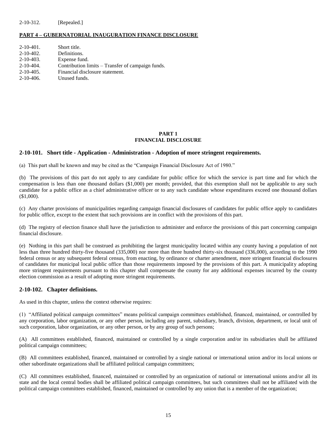#### 2-10-312. [Repealed.]

#### **PART 4 – GUBERNATORIAL INAUGURATION FINANCE DISCLOSURE**

| $2-10-401$ . | Short title.                                      |
|--------------|---------------------------------------------------|
| $2-10-402$ . | Definitions.                                      |
| $2-10-403$ . | Expense fund.                                     |
| $2-10-404$ . | Contribution limits – Transfer of campaign funds. |
| $2-10-405$ . | Financial disclosure statement.                   |
| $2-10-406.$  | Unused funds.                                     |

## **PART 1 FINANCIAL DISCLOSURE**

#### **2-10-101. Short title - Application - Administration - Adoption of more stringent requirements.**

(a) This part shall be known and may be cited as the "Campaign Financial Disclosure Act of 1980."

(b) The provisions of this part do not apply to any candidate for public office for which the service is part time and for which the compensation is less than one thousand dollars (\$1,000) per month; provided, that this exemption shall not be applicable to any such candidate for a public office as a chief administrative officer or to any such candidate whose expenditures exceed one thousand dollars (\$1,000).

(c) Any charter provisions of municipalities regarding campaign financial disclosures of candidates for public office apply to candidates for public office, except to the extent that such provisions are in conflict with the provisions of this part.

(d) The registry of election finance shall have the jurisdiction to administer and enforce the provisions of this part concerning campaign financial disclosure.

(e) Nothing in this part shall be construed as prohibiting the largest municipality located within any county having a population of not less than three hundred thirty-five thousand (335,000) nor more than three hundred thirty-six thousand (336,000), according to the 1990 federal census or any subsequent federal census, from enacting, by ordinance or charter amendment, more stringent financial disclosures of candidates for municipal local public office than those requirements imposed by the provisions of this part. A municipality adopting more stringent requirements pursuant to this chapter shall compensate the county for any additional expenses incurred by the county election commission as a result of adopting more stringent requirements.

#### **2-10-102. Chapter definitions.**

As used in this chapter, unless the context otherwise requires:

(1) "Affiliated political campaign committees" means political campaign committees established, financed, maintained, or controlled by any corporation, labor organization, or any other person, including any parent, subsidiary, branch, division, department, or local unit of such corporation, labor organization, or any other person, or by any group of such persons;

(A) All committees established, financed, maintained or controlled by a single corporation and/or its subsidiaries shall be affiliated political campaign committees;

(B) All committees established, financed, maintained or controlled by a single national or international union and/or its local unions or other subordinate organizations shall be affiliated political campaign committees;

(C) All committees established, financed, maintained or controlled by an organization of national or international unions and/or all its state and the local central bodies shall be affiliated political campaign committees, but such committees shall not be affiliated with the political campaign committees established, financed, maintained or controlled by any union that is a member of the organization;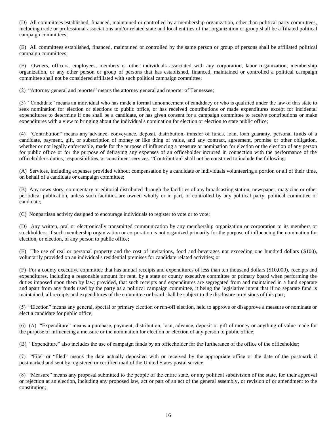(D) All committees established, financed, maintained or controlled by a membership organization, other than political party committees, including trade or professional associations and/or related state and local entities of that organization or group shall be affiliated political campaign committees;

(E) All committees established, financed, maintained or controlled by the same person or group of persons shall be affiliated political campaign committees;

(F) Owners, officers, employees, members or other individuals associated with any corporation, labor organization, membership organization, or any other person or group of persons that has established, financed, maintained or controlled a political campaign committee shall not be considered affiliated with such political campaign committee;

(2) "Attorney general and reporter" means the attorney general and reporter of Tennessee;

(3) "Candidate" means an individual who has made a formal announcement of candidacy or who is qualified under the law of this state to seek nomination for election or elections to public office, or has received contributions or made expenditures except for incidental expenditures to determine if one shall be a candidate, or has given consent for a campaign committee to receive contributions or make expenditures with a view to bringing about the individual's nomination for election or election to state public office;

(4) "Contribution" means any advance, conveyance, deposit, distribution, transfer of funds, loan, loan guaranty, personal funds of a candidate, payment, gift, or subscription of money or like thing of value, and any contract, agreement, promise or other obligation, whether or not legally enforceable, made for the purpose of influencing a measure or nomination for election or the election of any person for public office or for the purpose of defraying any expenses of an officeholder incurred in connection with the performance of the officeholder's duties, responsibilities, or constituent services. "Contribution" shall not be construed to include the following:

(A) Services, including expenses provided without compensation by a candidate or individuals volunteering a portion or all of their time, on behalf of a candidate or campaign committee;

(B) Any news story, commentary or editorial distributed through the facilities of any broadcasting station, newspaper, magazine or other periodical publication, unless such facilities are owned wholly or in part, or controlled by any political party, political committee or candidate;

(C) Nonpartisan activity designed to encourage individuals to register to vote or to vote;

(D) Any written, oral or electronically transmitted communication by any membership organization or corporation to its members or stockholders, if such membership organization or corporation is not organized primarily for the purpose of influencing the nomination for election, or election, of any person to public office;

(E) The use of real or personal property and the cost of invitations, food and beverages not exceeding one hundred dollars (\$100), voluntarily provided on an individual's residential premises for candidate related activities; or

(F) For a county executive committee that has annual receipts and expenditures of less than ten thousand dollars (\$10,000), receipts and expenditures, including a reasonable amount for rent, by a state or county executive committee or primary board when performing the duties imposed upon them by law; provided, that such receipts and expenditures are segregated from and maintained in a fund separate and apart from any funds used by the party as a political campaign committee, it being the legislative intent that if no separate fund is maintained, all receipts and expenditures of the committee or board shall be subject to the disclosure provisions of this part;

(5) "Election" means any general, special or primary election or run-off election, held to approve or disapprove a measure or nominate or elect a candidate for public office;

(6) (A) "Expenditure" means a purchase, payment, distribution, loan, advance, deposit or gift of money or anything of value made for the purpose of influencing a measure or the nomination for election or election of any person to public office;

(B) "Expenditure" also includes the use of campaign funds by an officeholder for the furtherance of the office of the officeholder;

(7) "File" or "filed" means the date actually deposited with or received by the appropriate office or the date of the postmark if postmarked and sent by registered or certified mail of the United States postal service;

(8) "Measure" means any proposal submitted to the people of the entire state, or any political subdivision of the state, for their approval or rejection at an election, including any proposed law, act or part of an act of the general assembly, or revision of or amendment to the constitution;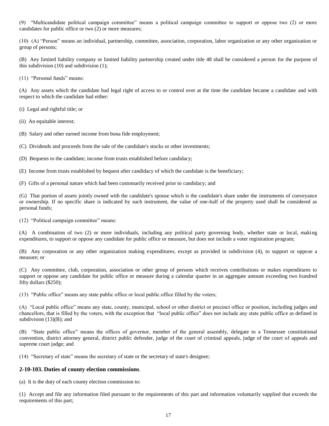(9) "Multicandidate political campaign committee" means a political campaign committee to support or oppose two (2) or more candidates for public office or two (2) or more measures;

(10) (A) "Person" means an individual, partnership, committee, association, corporation, labor organization or any other organization or group of persons;

(B) Any limited liability company or limited liability partnership created under title 48 shall be considered a person for the purpose of this subdivision (10) and subdivision (1);

(11) "Personal funds" means:

(A) Any assets which the candidate had legal right of access to or control over at the time the candidate became a candidate and with respect to which the candidate had either:

(i) Legal and rightful title; or

(ii) An equitable interest;

(B) Salary and other earned income from bona fide employment;

(C) Dividends and proceeds from the sale of the candidate's stocks or other investments;

(D) Bequests to the candidate; income from trusts established before candidacy;

(E) Income from trusts established by bequest after candidacy of which the candidate is the beneficiary;

(F) Gifts of a personal nature which had been customarily received prior to candidacy; and

(G) That portion of assets jointly owned with the candidate's spouse which is the candidate's share under the instruments of conveyance or ownership. If no specific share is indicated by such instrument, the value of one-half of the property used shall be considered as personal funds;

(12) "Political campaign committee" means:

(A) A combination of two (2) or more individuals, including any political party governing body, whether state or local, making expenditures, to support or oppose any candidate for public office or measure, but does not include a voter registration program;

(B) Any corporation or any other organization making expenditures, except as provided in subdivision (4), to support or oppose a measure; or

(C) Any committee, club, corporation, association or other group of persons which receives contributions or makes expenditures to support or oppose any candidate for public office or measure during a calendar quarter in an aggregate amount exceeding two hundred fifty dollars (\$250);

(13) "Public office" means any state public office or local public office filled by the voters;

(A) "Local public office" means any state, county, municipal, school or other district or precinct office or position, including judges and chancellors, that is filled by the voters, with the exception that "local public office" does not include any state public office as defined in subdivision (13)(B); and

(B) "State public office" means the offices of governor, member of the general assembly, delegate to a Tennessee constitutional convention, district attorney general, district public defender, judge of the court of criminal appeals, judge of the court of appeals and supreme court judge; and

(14) "Secretary of state" means the secretary of state or the secretary of state's designee;

#### **2-10-103. Duties of county election commissions**.

(a) It is the duty of each county election commission to:

(1) Accept and file any information filed pursuant to the requirements of this part and information voluntarily supplied that exceeds the requirements of this part;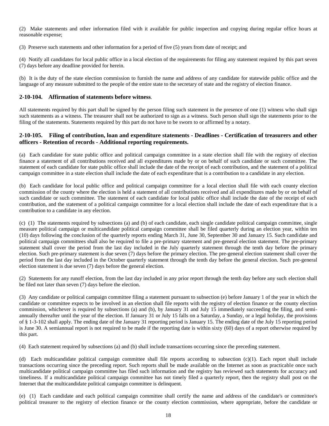(2) Make statements and other information filed with it available for public inspection and copying during regular office hours at reasonable expense;

(3) Preserve such statements and other information for a period of five (5) years from date of receipt; and

(4) Notify all candidates for local public office in a local election of the requirements for filing any statement required by this part seven (7) days before any deadline provided for herein.

(b) It is the duty of the state election commission to furnish the name and address of any candidate for statewide public office and the language of any measure submitted to the people of the entire state to the secretary of state and the registry of election finance.

# **2-10-104. Affirmation of statements before witness**.

All statements required by this part shall be signed by the person filing such statement in the presence of one (1) witness who shall sign such statements as a witness. The treasurer shall not be authorized to sign as a witness. Such person shall sign the statements prior to the filing of the statements. Statements required by this part do not have to be sworn to or affirmed by a notary.

# **2-10-105. Filing of contribution, loan and expenditure statements - Deadlines - Certification of treasurers and other officers - Retention of records - Additional reporting requirements.**

(a) Each candidate for state public office and political campaign committee in a state election shall file with the registry of election finance a statement of all contributions received and all expenditures made by or on behalf of such candidate or such committee. The statement of each candidate for state public office shall include the date of the receipt of each contribution, and the statement of a political campaign committee in a state election shall include the date of each expenditure that is a contribution to a candidate in any election.

(b) Each candidate for local public office and political campaign committee for a local election shall file with each county election commission of the county where the election is held a statement of all contributions received and all expenditures made by or on behalf of such candidate or such committee. The statement of each candidate for local public office shall include the date of the receipt of each contribution, and the statement of a political campaign committee for a local election shall include the date of each expenditure that is a contribution to a candidate in any election.

(c) (1) The statements required by subsections (a) and (b) of each candidate, each single candidate political campaign committee, single measure political campaign or multicandidate political campaign committee shall be filed quarterly during an election year, within ten (10) days following the conclusion of the quarterly reports ending March 31, June 30, September 30 and January 15. Such candidate and political campaign committees shall also be required to file a pre-primary statement and pre-general election statement. The pre-primary statement shall cover the period from the last day included in the July quarterly statement through the tenth day before the primary election. Such pre-primary statement is due seven (7) days before the primary election. The pre-general election statement shall cover the period from the last day included in the October quarterly statement through the tenth day before the general election. Such pre-general election statement is due seven (7) days before the general election.

(2) Statements for any runoff election, from the last day included in any prior report through the tenth day before any such election shall be filed not later than seven (7) days before the election.

(3) Any candidate or political campaign committee filing a statement pursuant to subsection (e) before January 1 of the year in which the candidate or committee expects to be involved in an election shall file reports with the registry of election finance or the county election commission, whichever is required by subsections (a) and (b), by January 31 and July 15 immediately succeeding the filing, and semiannually thereafter until the year of the election. If January 31 or July 15 falls on a Saturday, a Sunday, or a legal holiday, the provisions of § 1-3-102 shall apply. The ending date of the January 31 reporting period is January 15. The ending date of the July 15 reporting period is June 30. A semiannual report is not required to be made if the reporting date is within sixty (60) days of a report otherwise required by this part.

(4) Each statement required by subsections (a) and (b) shall include transactions occurring since the preceding statement.

(d) Each multicandidate political campaign committee shall file reports according to subsection (c)(1). Each report shall include transactions occurring since the preceding report. Such reports shall be made available on the Internet as soon as practicable once such multicandidate political campaign committee has filed such information and the registry has reviewed such statements for accuracy and timeliness. If a multicandidate political campaign committee has not timely filed a quarterly report, then the registry shall post on the Internet that the multicandidate political campaign committee is delinquent.

(e) (1) Each candidate and each political campaign committee shall certify the name and address of the candidate's or committee's political treasurer to the registry of election finance or the county election commission, where appropriate, before the candidate or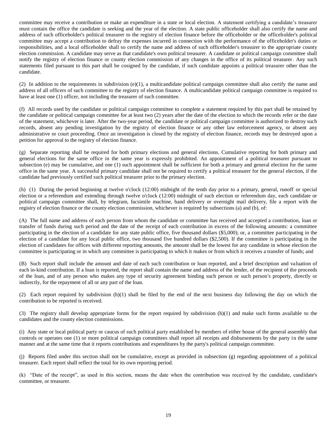committee may receive a contribution or make an expenditure in a state or local election. A statement certifying a candidate's treasurer must contain the office the candidate is seeking and the year of the election. A state public officeholder shall also certify the name and address of such officeholder's political treasurer to the registry of election finance before the officeholder or the officeholder's political committee may accept a contribution to defray the expenses incurred in connection with the performance of the officeholder's duties or responsibilities, and a local officeholder shall so certify the name and address of such officeholder's treasurer to the appropriate county election commission. A candidate may serve as that candidate's own political treasurer. A candidate or political campaign committee shall notify the registry of election finance or county election commission of any changes in the office of its political treasurer. Any such statements filed pursuant to this part shall be cosigned by the candidate, if such candidate appoints a political treasurer other than the candidate.

(2) In addition to the requirements in subdivision (e)(1), a multicandidate political campaign committee shall also certify the name and address of all officers of such committee to the registry of election finance. A multicandidate political campaign committee is required to have at least one (1) officer, not including the treasurer of such committee.

(f) All records used by the candidate or political campaign committee to complete a statement required by this part shall be retained by the candidate or political campaign committee for at least two (2) years after the date of the election to which the records refer or the date of the statement, whichever is later. After the two-year period, the candidate or political campaign committee is authorized to destroy such records, absent any pending investigation by the registry of election finance or any other law enforcement agency, or absent any administrative or court proceeding. Once an investigation is closed by the registry of election finance, records may be destroyed upon a petition for approval to the registry of election finance.

(g) Separate reporting shall be required for both primary elections and general elections. Cumulative reporting for both primary and general elections for the same office in the same year is expressly prohibited. An appointment of a political treasurer pursuant to subsection (e) may be cumulative, and one (1) such appointment shall be sufficient for both a primary and general election for the same office in the same year. A successful primary candidate shall not be required to certify a political treasurer for the general election, if the candidate had previously certified such political treasurer prior to the primary election.

(h) (1) During the period beginning at twelve o'clock (12:00) midnight of the tenth day prior to a primary, general, runoff or special election or a referendum and extending through twelve o'clock (12:00) midnight of such election or referendum day, each candidate or political campaign committee shall, by telegram, facsimile machine, hand delivery or overnight mail delivery, file a report with the registry of election finance or the county election commission, whichever is required by subsections (a) and (b), of:

(A) The full name and address of each person from whom the candidate or committee has received and accepted a contribution, loan or transfer of funds during such period and the date of the receipt of each contribution in excess of the following amounts: a committee participating in the election of a candidate for any state public office, five thousand dollars (\$5,000); or, a committee participating in the election of a candidate for any local public office, two thousand five hundred dollars (\$2,500). If the committee is participating in the election of candidates for offices with different reporting amounts, the amount shall be the lowest for any candidate in whose election the committee is participating or in which any committee is participating to which it makes or from which it receives a transfer of funds; and

(B) Such report shall include the amount and date of each such contribution or loan reported, and a brief description and valuation of each in-kind contribution. If a loan is reported, the report shall contain the name and address of the lender, of the recipient of the proceeds of the loan, and of any person who makes any type of security agreement binding such person or such person's property, directly or indirectly, for the repayment of all or any part of the loan.

(2) Each report required by subdivision (h)(1) shall be filed by the end of the next business day following the day on which the contribution to be reported is received.

(3) The registry shall develop appropriate forms for the report required by subdivision (h)(1) and make such forms available to the candidates and the county election commissions.

(i) Any state or local political party or caucus of such political party established by members of either house of the general assembly that controls or operates one (1) or more political campaign committees shall report all receipts and disbursements by the party in the same manner and at the same time that it reports contributions and expenditures by the party's political campaign committee.

(j) Reports filed under this section shall not be cumulative, except as provided in subsection (g) regarding appointment of a political treasurer. Each report shall reflect the total for its own reporting period.

(k) "Date of the receipt", as used in this section, means the date when the contribution was received by the candidate, candidate's committee, or treasurer.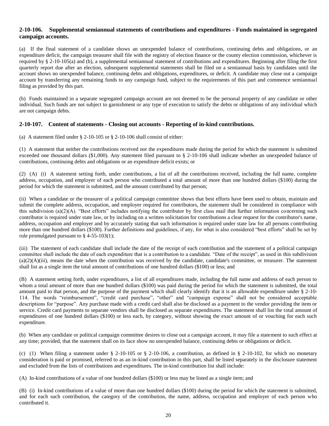# **2-10-106. Supplemental semiannual statements of contributions and expenditures - Funds maintained in segregated campaign accounts.**

(a) If the final statement of a candidate shows an unexpended balance of contributions, continuing debts and obligations, or an expenditure deficit, the campaign treasurer shall file with the registry of election finance or the county election commission, whichever is required by § 2-10-105(a) and (b), a supplemental semiannual statement of contributions and expenditures. Beginning after filing the first quarterly report due after an election, subsequent supplemental statements shall be filed on a semiannual basis by candidates until the account shows no unexpended balance, continuing debts and obligations, expenditures, or deficit. A candidate may close out a campaign account by transferring any remaining funds to any campaign fund, subject to the requirements of this part and commence semiannual filing as provided by this part.

(b) Funds maintained in a separate segregated campaign account are not deemed to be the personal property of any candidate or other individual. Such funds are not subject to garnishment or any type of execution to satisfy the debts or obligations of any individual which are not campaign debts.

# **2-10-107. Content of statements - Closing out accounts - Reporting of in-kind contributions.**

(a) A statement filed under § 2-10-105 or § 2-10-106 shall consist of either:

(1) A statement that neither the contributions received nor the expenditures made during the period for which the statement is submitted exceeded one thousand dollars (\$1,000). Any statement filed pursuant to § 2-10-106 shall indicate whether an unexpended balance of contributions, continuing debts and obligations or an expenditure deficit exists; or

(2) (A) (i) A statement setting forth, under contributions, a list of all the contributions received, including the full name, complete address, occupation, and employer of each person who contributed a total amount of more than one hundred dollars (\$100) during the period for which the statement is submitted, and the amount contributed by that person;

(ii) When a candidate or the treasurer of a political campaign committee shows that best efforts have been used to obtain, maintain and submit the complete address, occupation, and employer required for contributors, the statement shall be considered in compliance with this subdivision (a)(2)(A). "Best efforts" includes notifying the contributor by first class mail that further information concerning such contributor is required under state law, or by including on a written solicitation for contributions a clear request for the contributor's name, address, occupation and employer and by accurately stating that such information is required under state law for all persons contributing more than one hundred dollars (\$100). Further definitions and guidelines, if any, for what is also considered "best efforts" shall be set by rule promulgated pursuant to § 4-55-103(1);

(iii) The statement of each candidate shall include the date of the receipt of each contribution and the statement of a political campaign committee shall include the date of each expenditure that is a contribution to a candidate. "Date of the receipt", as used in this subdivision  $(a)(2)(A)(iii)$ , means the date when the contribution was received by the candidate, candidate's committee, or treasurer. The statement shall list as a single item the total amount of contributions of one hundred dollars (\$100) or less; and

(B) A statement setting forth, under expenditures, a list of all expenditures made, including the full name and address of each person to whom a total amount of more than one hundred dollars (\$100) was paid during the period for which the statement is submitted, the total amount paid to that person, and the purpose of the payment which shall clearly identify that it is an allowable expenditure under § 2-10- 114. The words "reimbursement", "credit card purchase", "other" and "campaign expense" shall not be considered acceptable descriptions for "purpose". Any purchase made with a credit card shall also be disclosed as a payment to the vendor providing the item or service. Credit card payments to separate vendors shall be disclosed as separate expenditures. The statement shall list the total amount of expenditures of one hundred dollars (\$100) or less each, by category, without showing the exact amount of or vouching for each such expenditure.

(b) When any candidate or political campaign committee desires to close out a campaign account, it may file a statement to such effect at any time; provided, that the statement shall on its face show no unexpended balance, continuing debts or obligations or deficit.

(c) (1) When filing a statement under  $\S$  2-10-105 or  $\S$  2-10-106, a contribution, as defined in  $\S$  2-10-102, for which no monetary consideration is paid or promised, referred to as an in-kind contribution in this part, shall be listed separately in the disclosure statement and excluded from the lists of contributions and expenditures. The in-kind contribution list shall include:

(A) In-kind contributions of a value of one hundred dollars (\$100) or less may be listed as a single item; and

(B) (i) In-kind contributions of a value of more than one hundred dollars (\$100) during the period for which the statement is submitted, and for each such contribution, the category of the contribution, the name, address, occupation and employer of each person who contributed it.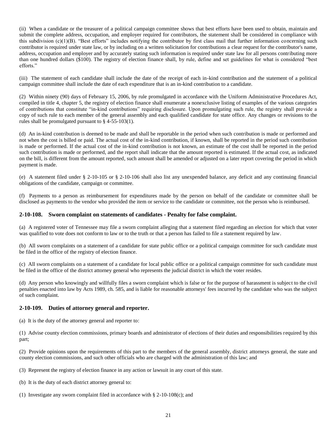(ii) When a candidate or the treasurer of a political campaign committee shows that best efforts have been used to obtain, maintain and submit the complete address, occupation, and employer required for contributors, the statement shall be considered in compliance with this subdivision  $(c)(1)(B)$ . "Best efforts" includes notifying the contributor by first class mail that further information concerning such contributor is required under state law, or by including on a written solicitation for contributions a clear request for the contributor's name, address, occupation and employer and by accurately stating such information is required under state law for all persons contributing more than one hundred dollars (\$100). The registry of election finance shall, by rule, define and set guidelines for what is considered "best efforts."

(iii) The statement of each candidate shall include the date of the receipt of each in-kind contribution and the statement of a political campaign committee shall include the date of each expenditure that is an in-kind contribution to a candidate.

(2) Within ninety (90) days of February 15, 2006, by rule promulgated in accordance with the Uniform Administrative Procedures Act, compiled in title 4, chapter 5, the registry of election finance shall enumerate a nonexclusive listing of examples of the various categories of contributions that constitute "in-kind contributions" requiring disclosure. Upon promulgating such rule, the registry shall provide a copy of such rule to each member of the general assembly and each qualified candidate for state office. Any changes or revisions to the rules shall be promulgated pursuant to § 4-55-103(1).

(d) An in-kind contribution is deemed to be made and shall be reportable in the period when such contribution is made or performed and not when the cost is billed or paid. The actual cost of the in-kind contribution, if known, shall be reported in the period such contribution is made or performed. If the actual cost of the in-kind contribution is not known, an estimate of the cost shall be reported in the period such contribution is made or performed, and the report shall indicate that the amount reported is estimated. If the actual cost, as indicated on the bill, is different from the amount reported, such amount shall be amended or adjusted on a later report covering the period in which payment is made.

(e) A statement filed under § 2-10-105 or § 2-10-106 shall also list any unexpended balance, any deficit and any continuing financial obligations of the candidate, campaign or committee.

(f) Payments to a person as reimbursement for expenditures made by the person on behalf of the candidate or committee shall be disclosed as payments to the vendor who provided the item or service to the candidate or committee, not the person who is reimbursed.

# **2-10-108. Sworn complaint on statements of candidates - Penalty for false complaint.**

(a) A registered voter of Tennessee may file a sworn complaint alleging that a statement filed regarding an election for which that voter was qualified to vote does not conform to law or to the truth or that a person has failed to file a statement required by law.

(b) All sworn complaints on a statement of a candidate for state public office or a political campaign committee for such candidate must be filed in the office of the registry of election finance.

(c) All sworn complaints on a statement of a candidate for local public office or a political campaign committee for such candidate must be filed in the office of the district attorney general who represents the judicial district in which the voter resides.

(d) Any person who knowingly and willfully files a sworn complaint which is false or for the purpose of harassment is subject to the civil penalties enacted into law by Acts 1989, ch. 585, and is liable for reasonable attorneys' fees incurred by the candidate who was the subject of such complaint.

#### **2-10-109. Duties of attorney general and reporter.**

(a) It is the duty of the attorney general and reporter to:

(1) Advise county election commissions, primary boards and administrator of elections of their duties and responsibilities required by this part;

(2) Provide opinions upon the requirements of this part to the members of the general assembly, district attorneys general, the state and county election commissions, and such other officials who are charged with the administration of this law; and

- (3) Represent the registry of election finance in any action or lawsuit in any court of this state.
- (b) It is the duty of each district attorney general to:
- (1) Investigate any sworn complaint filed in accordance with § 2-10-108(c); and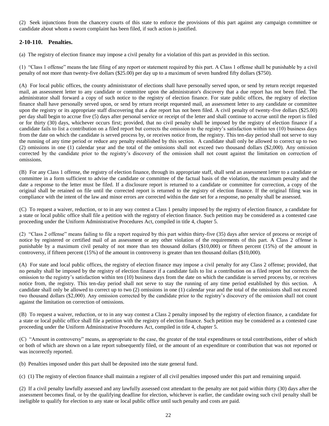(2) Seek injunctions from the chancery courts of this state to enforce the provisions of this part against any campaign committee or candidate about whom a sworn complaint has been filed, if such action is justified.

# **2-10-110. Penalties.**

(a) The registry of election finance may impose a civil penalty for a violation of this part as provided in this section.

(1) "Class 1 offense" means the late filing of any report or statement required by this part. A Class 1 offense shall be punishable by a civil penalty of not more than twenty-five dollars (\$25.00) per day up to a maximum of seven hundred fifty dollars (\$750).

(A) For local public offices, the county administrator of elections shall have personally served upon, or send by return receipt requested mail, an assessment letter to any candidate or committee upon the administrator's discovery that a due report has not been filed. The administrator shall forward a copy of such notice to the registry of election finance. For state public offices, the registry of election finance shall have personally served upon, or send by return receipt requested mail, an assessment letter to any candidate or committee upon the registry or its appropriate staff discovering that a due report has not been filed. A civil penalty of twenty-five dollars (\$25.00) per day shall begin to accrue five (5) days after personal service or receipt of the letter and shall continue to accrue until the report is filed or for thirty (30) days, whichever occurs first; provided, that no civil penalty shall be imposed by the registry of election finance if a candidate fails to list a contribution on a filed report but corrects the omission to the registry's satisfaction within ten (10) business days from the date on which the candidate is served process by, or receives notice from, the registry. This ten-day period shall not serve to stay the running of any time period or reduce any penalty established by this section. A candidate shall only be allowed to correct up to two (2) omissions in one (1) calendar year and the total of the omissions shall not exceed two thousand dollars (\$2,000). Any omission corrected by the candidate prior to the registry's discovery of the omission shall not count against the limitation on correction of omissions.

(B) For any Class 1 offense, the registry of election finance, through its appropriate staff, shall send an assessment letter to a candidate or committee in a form sufficient to advise the candidate or committee of the factual basis of the violation, the maximum penalty and the date a response to the letter must be filed. If a disclosure report is returned to a candidate or committee for correction, a copy of the original shall be retained on file until the corrected report is returned to the registry of election finance. If the original filing was in compliance with the intent of the law and minor errors are corrected within the date set for a response, no penalty shall be assessed.

(C) To request a waiver, reduction, or to in any way contest a Class 1 penalty imposed by the registry of election finance, a candidate for a state or local public office shall file a petition with the registry of election finance. Such petition may be considered as a contested case proceeding under the Uniform Administrative Procedures Act, compiled in title 4, chapter 5.

(2) "Class 2 offense" means failing to file a report required by this part within thirty-five (35) days after service of process or receipt of notice by registered or certified mail of an assessment or any other violation of the requirements of this part. A Class 2 offense is punishable by a maximum civil penalty of not more than ten thousand dollars (\$10,000) or fifteen percent (15%) of the amount in controversy, if fifteen percent (15%) of the amount in controversy is greater than ten thousand dollars (\$10,000).

(A) For state and local public offices, the registry of election finance may impose a civil penalty for any Class 2 offense; provided, that no penalty shall be imposed by the registry of election finance if a candidate fails to list a contribution on a filed report but corrects the omission to the registry's satisfaction within ten (10) business days from the date on which the candidate is served process by, or receives notice from, the registry. This ten-day period shall not serve to stay the running of any time period established by this section. A candidate shall only be allowed to correct up to two (2) omissions in one (1) calendar year and the total of the omissions shall not exceed two thousand dollars (\$2,000). Any omission corrected by the candidate prior to the registry's discovery of the omission shall not count against the limitation on correction of omissions.

(B) To request a waiver, reduction, or to in any way contest a Class 2 penalty imposed by the registry of election finance, a candidate for a state or local public office shall file a petition with the registry of election finance. Such petition may be considered as a contested case proceeding under the Uniform Administrative Procedures Act, compiled in title 4, chapter 5.

(C) "Amount in controversy" means, as appropriate to the case, the greater of the total expenditures or total contributions, either of which or both of which are shown on a late report subsequently filed, or the amount of an expenditure or contribution that was not reported or was incorrectly reported.

(b) Penalties imposed under this part shall be deposited into the state general fund.

(c) (1) The registry of election finance shall maintain a register of all civil penalties imposed under this part and remaining unpaid.

(2) If a civil penalty lawfully assessed and any lawfully assessed cost attendant to the penalty are not paid within thirty (30) days after the assessment becomes final, or by the qualifying deadline for election, whichever is earlier, the candidate owing such civil penalty shall be ineligible to qualify for election to any state or local public office until such penalty and costs are paid.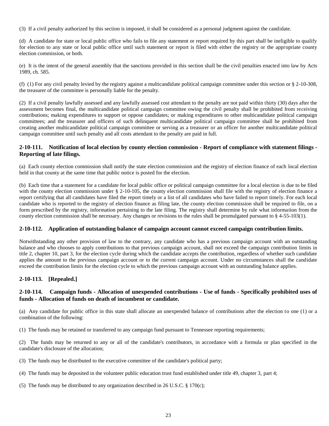(3) If a civil penalty authorized by this section is imposed, it shall be considered as a personal judgment against the candidate.

(d) A candidate for state or local public office who fails to file any statement or report required by this part shall be ineligible to qualify for election to any state or local public office until such statement or report is filed with either the registry or the appropriate county election commission, or both.

(e) It is the intent of the general assembly that the sanctions provided in this section shall be the civil penalties enacted into law by Acts 1989, ch. 585.

(f) (1) For any civil penalty levied by the registry against a multicandidate political campaign committee under this section or § 2-10-308, the treasurer of the committee is personally liable for the penalty.

(2) If a civil penalty lawfully assessed and any lawfully assessed cost attendant to the penalty are not paid within thirty (30) days after the assessment becomes final, the multicandidate political campaign committee owing the civil penalty shall be prohibited from receiving contributions; making expenditures to support or oppose candidates; or making expenditures to other multicandidate political campaign committees; and the treasurer and officers of such delinquent multicandidate political campaign committee shall be prohibited from creating another multicandidate political campaign committee or serving as a treasurer or an officer for another multicandidate political campaign committee until such penalty and all costs attendant to the penalty are paid in full.

# **2-10-111. Notification of local election by county election commission - Report of compliance with statement filings - Reporting of late filings.**

(a) Each county election commission shall notify the state election commission and the registry of election finance of each local election held in that county at the same time that public notice is posted for the election.

(b) Each time that a statement for a candidate for local public office or political campaign committee for a local election is due to be filed with the county election commission under § 2-10-105, the county election commission shall file with the registry of election finance a report certifying that all candidates have filed the report timely or a list of all candidates who have failed to report timely. For each local candidate who is reported to the registry of election finance as filing late, the county election commission shall be required to file, on a form prescribed by the registry, information pertaining to the late filing. The registry shall determine by rule what information from the county election commission shall be necessary. Any changes or revisions to the rules shall be promulgated pursuant to § 4-55-103(1).

# **2-10-112. Application of outstanding balance of campaign account cannot exceed campaign contribution limits.**

Notwithstanding any other provision of law to the contrary, any candidate who has a previous campaign account with an outstanding balance and who chooses to apply contributions to that previous campaign account, shall not exceed the campaign contribution limits in title 2, chapter 10, part 3, for the election cycle during which the candidate accepts the contribution, regardless of whether such candidate applies the amount to the previous campaign account or to the current campaign account. Under no circumstances shall the candidate exceed the contribution limits for the election cycle to which the previous campaign account with an outstanding balance applies.

# **2-10-113. [Repealed.]**

# **2-10-114. Campaign funds - Allocation of unexpended contributions - Use of funds - Specifically prohibited uses of funds - Allocation of funds on death of incumbent or candidate.**

(a) Any candidate for public office in this state shall allocate an unexpended balance of contributions after the election to one (1) or a combination of the following:

(1) The funds may be retained or transferred to any campaign fund pursuant to Tennessee reporting requirements;

(2) The funds may be returned to any or all of the candidate's contributors, in accordance with a formula or plan specified in the candidate's disclosure of the allocation;

- (3) The funds may be distributed to the executive committee of the candidate's political party;
- (4) The funds may be deposited in the volunteer public education trust fund established under title 49, chapter 3, part 4;
- (5) The funds may be distributed to any organization described in 26 U.S.C.  $\S$  170(c);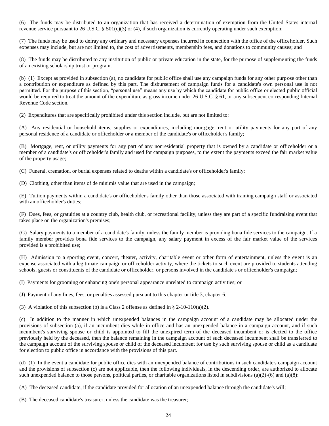(6) The funds may be distributed to an organization that has received a determination of exemption from the United States internal revenue service pursuant to 26 U.S.C. § 501(c)(3) or (4), if such organization is currently operating under such exemption;

(7) The funds may be used to defray any ordinary and necessary expenses incurred in connection with the office of the officeholder. Such expenses may include, but are not limited to, the cost of advertisements, membership fees, and donations to community causes; and

(8) The funds may be distributed to any institution of public or private education in the state, for the purpose of supplementing the funds of an existing scholarship trust or program.

(b) (1) Except as provided in subsection (a), no candidate for public office shall use any campaign funds for any other purpose other than a contribution or expenditure as defined by this part. The disbursement of campaign funds for a candidate's own personal use is not permitted. For the purpose of this section, "personal use" means any use by which the candidate for public office or elected public official would be required to treat the amount of the expenditure as gross income under 26 U.S.C. § 61, or any subsequent corresponding Internal Revenue Code section.

(2) Expenditures that are specifically prohibited under this section include, but are not limited to:

(A) Any residential or household items, supplies or expenditures, including mortgage, rent or utility payments for any part of any personal residence of a candidate or officeholder or a member of the candidate's or officeholder's family;

(B) Mortgage, rent, or utility payments for any part of any nonresidential property that is owned by a candidate or officeholder or a member of a candidate's or officeholder's family and used for campaign purposes, to the extent the payments exceed the fair market value of the property usage;

(C) Funeral, cremation, or burial expenses related to deaths within a candidate's or officeholder's family;

(D) Clothing, other than items of de minimis value that are used in the campaign;

(E) Tuition payments within a candidate's or officeholder's family other than those associated with training campaign staff or associated with an officeholder's duties;

(F) Dues, fees, or gratuities at a country club, health club, or recreational facility, unless they are part of a specific fundraising event that takes place on the organization's premises;

(G) Salary payments to a member of a candidate's family, unless the family member is providing bona fide services to the campaign. If a family member provides bona fide services to the campaign, any salary payment in excess of the fair market value of the services provided is a prohibited use;

(H) Admission to a sporting event, concert, theater, activity, charitable event or other form of entertainment, unless the event is an expense associated with a legitimate campaign or officeholder activity, where the tickets to such event are provided to students attending schools, guests or constituents of the candidate or officeholder, or persons involved in the candidate's or officeholder's campaign;

(I) Payments for grooming or enhancing one's personal appearance unrelated to campaign activities; or

(J) Payment of any fines, fees, or penalties assessed pursuant to this chapter or title 3, chapter 6.

(3) A violation of this subsection (b) is a Class 2 offense as defined in  $\S$  2-10-110(a)(2).

(c) In addition to the manner in which unexpended balances in the campaign account of a candidate may be allocated under the provisions of subsection (a), if an incumbent dies while in office and has an unexpended balance in a campaign account, and if such incumbent's surviving spouse or child is appointed to fill the unexpired term of the deceased incumbent or is elected to the office previously held by the deceased, then the balance remaining in the campaign account of such deceased incumbent shall be transferred to the campaign account of the surviving spouse or child of the deceased incumbent for use by such surviving spouse or child as a candidate for election to public office in accordance with the provisions of this part.

(d) (1) In the event a candidate for public office dies with an unexpended balance of contributions in such candidate's campaign account and the provisions of subsection (c) are not applicable, then the following individuals, in the descending order, are authorized to allocate such unexpended balance to those persons, political parties, or charitable organizations listed in subdivisions (a)(2)-(6) and (a)(8):

(A) The deceased candidate, if the candidate provided for allocation of an unexpended balance through the candidate's will;

(B) The deceased candidate's treasurer, unless the candidate was the treasurer;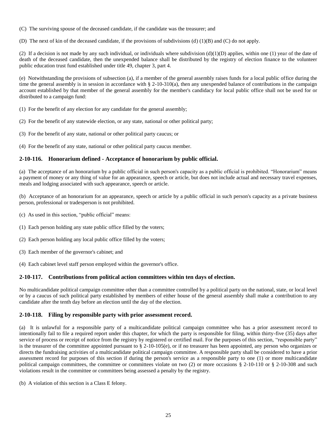(C) The surviving spouse of the deceased candidate, if the candidate was the treasurer; and

(D) The next of kin of the deceased candidate, if the provisions of subdivisions (d)  $(1)(B)$  and (C) do not apply.

(2) If a decision is not made by any such individual, or individuals where subdivision  $(d)(1)(D)$  applies, within one (1) year of the date of death of the deceased candidate, then the unexpended balance shall be distributed by the registry of election finance to the volunteer public education trust fund established under title 49, chapter 3, part 4.

(e) Notwithstanding the provisions of subsection (a), if a member of the general assembly raises funds for a local public office during the time the general assembly is in session in accordance with § 2-10-310(a), then any unexpended balance of contributions in the campaign account established by that member of the general assembly for the member's candidacy for local public office shall not be used for or distributed to a campaign fund:

- (1) For the benefit of any election for any candidate for the general assembly;
- (2) For the benefit of any statewide election, or any state, national or other political party;
- (3) For the benefit of any state, national or other political party caucus; or

(4) For the benefit of any state, national or other political party caucus member.

# **2-10-116. Honorarium defined - Acceptance of honorarium by public official.**

(a) The acceptance of an honorarium by a public official in such person's capacity as a public official is prohibited. "Honorarium" means a payment of money or any thing of value for an appearance, speech or article, but does not include actual and necessary travel expenses, meals and lodging associated with such appearance, speech or article.

(b) Acceptance of an honorarium for an appearance, speech or article by a public official in such person's capacity as a private business person, professional or tradesperson is not prohibited.

- (c) As used in this section, "public official" means:
- (1) Each person holding any state public office filled by the voters;
- (2) Each person holding any local public office filled by the voters;
- (3) Each member of the governor's cabinet; and
- (4) Each cabinet level staff person employed within the governor's office.

# **2-10-117. Contributions from political action committees within ten days of election.**

No multicandidate political campaign committee other than a committee controlled by a political party on the national, state, or local level or by a caucus of such political party established by members of either house of the general assembly shall make a contribution to any candidate after the tenth day before an election until the day of the election.

# **2-10-118. Filing by responsible party with prior assessment record.**

(a) It is unlawful for a responsible party of a multicandidate political campaign committee who has a prior assessment record to intentionally fail to file a required report under this chapter, for which the party is responsible for filing, within thirty-five (35) days after service of process or receipt of notice from the registry by registered or certified mail. For the purposes of this section, "responsible party" is the treasurer of the committee appointed pursuant to § 2-10-105(e), or if no treasurer has been appointed, any person who organizes or directs the fundraising activities of a multicandidate political campaign committee. A responsible party shall be considered to have a prior assessment record for purposes of this section if during the person's service as a responsible party to one (1) or more multicandidate political campaign committees, the committee or committees violate on two (2) or more occasions § 2-10-110 or § 2-10-308 and such violations result in the committee or committees being assessed a penalty by the registry.

(b) A violation of this section is a Class E felony.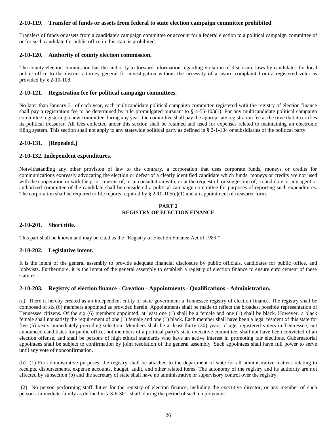# **2-10-119. Transfer of funds or assets from federal to state election campaign committee prohibited**.

Transfers of funds or assets from a candidate's campaign committee or account for a federal election to a political campaign committee of or for such candidate for public office in this state is prohibited.

# **2-10-120. Authority of county election commission.**

The county election commission has the authority to forward information regarding violation of disclosure laws by candidates for local public office to the district attorney general for investigation without the necessity of a sworn complaint from a registered voter as provided by § 2-10-108.

# **2-10-121. Registration fee for political campaign committees.**

No later than January 31 of each year, each multicandidate political campaign committee registered with the registry of election finance shall pay a registration fee to be determined by rule promulgated pursuant to  $\S$  4-55-103(1). For any multicandidate political campaign committee registering a new committee during any year, the committee shall pay the appropriate registration fee at the time that it certifies its political treasurer. All fees collected under this section shall be retained and used for expenses related to maintaining an electronic filing system. This section shall not apply to any statewide political party as defined in § 2-1-104 or subsidiaries of the political party.

# **2-10-131. [Repealed.]**

# **2-10-132. Independent expenditures.**

Notwithstanding any other provision of law to the contrary, a corporation that uses corporate funds, moneys or credits for communications expressly advocating the election or defeat of a clearly identified candidate which funds, moneys or credits are not used with the cooperation or with the prior consent of, or in consultation with, or at the request of, or suggestion of, a candidate or any agent or authorized committee of the candidate shall be considered a political campaign committee for purposes of reporting such expenditures. The corporation shall be required to file reports required by  $\S$  2-10-105(c)(1) and an appointment of treasurer form.

#### **PART 2 REGISTRY OF ELECTION FINANCE**

# **2-10-201. Short title.**

This part shall be known and may be cited as the "Registry of Election Finance Act of 1989."

# **2-10-202. Legislative intent.**

It is the intent of the general assembly to provide adequate financial disclosure by public officials, candidates for public office, and lobbyists. Furthermore, it is the intent of the general assembly to establish a registry of election finance to ensure enforcement of these statutes.

# **2-10-203. Registry of election finance - Creation - Appointments - Qualifications - Administration.**

(a) There is hereby created as an independent entity of state government a Tennessee registry of election finance. The registry shall be composed of six (6) members appointed as provided herein. Appointments shall be made to reflect the broadest possible representation of Tennessee citizens. Of the six (6) members appointed, at least one (1) shall be a female and one (1) shall be black. However, a black female shall not satisfy the requirement of one (1) female and one (1) black. Each member shall have been a legal resident of this state for five (5) years immediately preceding selection. Members shall be at least thirty (30) years of age, registered voters in Tennessee, not announced candidates for public office, not members of a political party's state executive committee, shall not have been convicted of an election offense, and shall be persons of high ethical standards who have an active interest in promoting fair elections. Gubernatorial appointees shall be subject to confirmation by joint resolution of the general assembly. Such appointees shall have full power to serve until any vote of nonconfirmation.

(b) (1) For administrative purposes, the registry shall be attached to the department of state for all administrative matters relating to receipts, disbursements, expense accounts, budget, audit, and other related items. The autonomy of the registry and its authority are not affected by subsection (b) and the secretary of state shall have no administrative or supervisory control over the registry.

(2) No person performing staff duties for the registry of election finance, including the executive director, or any member of such person's immediate family as defined in § 3-6-301, shall, during the period of such employment: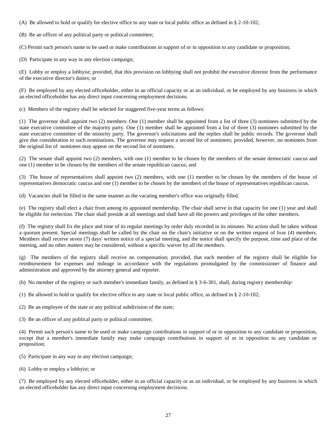(A) Be allowed to hold or qualify for elective office to any state or local public office as defined in § 2-10-102;

(B) Be an officer of any political party or political committee;

(C) Permit such person's name to be used or make contributions in support of or in opposition to any candidate or proposition;

(D) Participate in any way in any election campaign;

(E) Lobby or employ a lobbyist; provided, that this provision on lobbying shall not prohibit the executive director from the performance of the executive director's duties; or

(F) Be employed by any elected officeholder, either in an official capacity or as an individual, or be employed by any business in which an elected officeholder has any direct input concerning employment decisions.

(c) Members of the registry shall be selected for staggered five-year terms as follows:

(1) The governor shall appoint two (2) members. One (1) member shall be appointed from a list of three (3) nominees submitted by the state executive committee of the majority party. One (1) member shall be appointed from a list of three (3) nominees submitted by the state executive committee of the minority party. The governor's solicitations and the replies shall be public records. The governor shall give due consideration to such nominations. The governor may request a second list of nominees; provided, however, no nominees from the original list of nominees may appear on the second list of nominees.

(2) The senate shall appoint two (2) members, with one (1) member to be chosen by the members of the senate democratic caucus and one (1) member to be chosen by the members of the senate republican caucus; and

(3) The house of representatives shall appoint two (2) members, with one (1) member to be chosen by the members of the house of representatives democratic caucus and one (1) member to be chosen by the members of the house of representatives republican caucus.

(d) Vacancies shall be filled in the same manner as the vacating member's office was originally filled.

(e) The registry shall elect a chair from among its appointed membership. The chair shall serve in that capacity for one (1) year and shall be eligible for reelection. The chair shall preside at all meetings and shall have all the powers and privileges of the other members.

(f) The registry shall fix the place and time of its regular meetings by order duly recorded in its minutes. No action shall be taken without a quorum present. Special meetings shall be called by the chair on the chair's initiative or on the written request of four (4) members. Members shall receive seven (7) days' written notice of a special meeting, and the notice shall specify the purpose, time and place of the meeting, and no other matters may be considered, without a specific waiver by all the members.

(g) The members of the registry shall receive no compensation; provided, that each member of the registry shall be eligible for reimbursement for expenses and mileage in accordance with the regulations promulgated by the commissioner of finance and administration and approved by the attorney general and reporter.

(h) No member of the registry or such member's immediate family, as defined in  $\S$  3-6-301, shall, during registry membership:

- (1) Be allowed to hold or qualify for elective office to any state or local public office, as defined in § 2-10-102;
- (2) Be an employee of the state or any political subdivision of the state;
- (3) Be an officer of any political party or political committee;

(4) Permit such person's name to be used or make campaign contributions in support of or in opposition to any candidate or proposition, except that a member's immediate family may make campaign contributions in support of or in opposition to any candidate or proposition;

- (5) Participate in any way in any election campaign;
- (6) Lobby or employ a lobbyist; or

(7) Be employed by any elected officeholder, either in an official capacity or as an individual, or be employed by any business in which an elected officeholder has any direct input concerning employment decisions.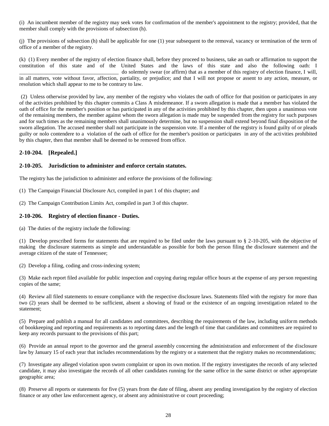(i) An incumbent member of the registry may seek votes for confirmation of the member's appointment to the registry; provided, that the member shall comply with the provisions of subsection (h).

(j) The provisions of subsection (h) shall be applicable for one (1) year subsequent to the removal, vacancy or termination of the term of office of a member of the registry.

(k) (1) Every member of the registry of election finance shall, before they proceed to business, take an oath or affirmation to support the constitution of this state and of the United States and the laws of this state and also the following oath: I do solemnly swear (or affirm) that as a member of this registry of election finance, I will, in all matters, vote without favor, affection, partiality, or prejudice; and that I will not propose or assent to any action, measure, or resolution which shall appear to me to be contrary to law.

(2) Unless otherwise provided by law, any member of the registry who violates the oath of office for that position or participates in any of the activities prohibited by this chapter commits a Class A misdemeanor. If a sworn allegation is made that a member has violated the oath of office for the member's position or has participated in any of the activities prohibited by this chapter, then upon a unanimous vote of the remaining members, the member against whom the sworn allegation is made may be suspended from the registry for such purposes and for such times as the remaining members shall unanimously determine, but no suspension shall extend beyond final disposition of the sworn allegation. The accused member shall not participate in the suspension vote. If a member of the registry is found guilty of or pleads guilty or nolo contendere to a violation of the oath of office for the member's position or participates in any of the activities prohibited by this chapter, then that member shall be deemed to be removed from office.

# **2-10-204. [Repealed.]**

# **2-10-205. Jurisdiction to administer and enforce certain statutes.**

The registry has the jurisdiction to administer and enforce the provisions of the following:

(1) The Campaign Financial Disclosure Act, compiled in part 1 of this chapter; and

(2) The Campaign Contribution Limits Act, compiled in part 3 of this chapter.

# **2-10-206. Registry of election finance - Duties.**

(a) The duties of the registry include the following:

(1) Develop prescribed forms for statements that are required to be filed under the laws pursuant to § 2-10-205, with the objective of making the disclosure statements as simple and understandable as possible for both the person filing the disclosure statement and the average citizen of the state of Tennessee;

(2) Develop a filing, coding and cross-indexing system;

(3) Make each report filed available for public inspection and copying during regular office hours at the expense of any person requesting copies of the same;

(4) Review all filed statements to ensure compliance with the respective disclosure laws. Statements filed with the registry for more than two (2) years shall be deemed to be sufficient, absent a showing of fraud or the existence of an ongoing investigation related to the statement;

(5) Prepare and publish a manual for all candidates and committees, describing the requirements of the law, including uniform methods of bookkeeping and reporting and requirements as to reporting dates and the length of time that candidates and committees are required to keep any records pursuant to the provisions of this part;

(6) Provide an annual report to the governor and the general assembly concerning the administration and enforcement of the disclosure law by January 15 of each year that includes recommendations by the registry or a statement that the registry makes no recommendations;

(7) Investigate any alleged violation upon sworn complaint or upon its own motion. If the registry investigates the records of any selected candidate, it may also investigate the records of all other candidates running for the same office in the same district or other appropriate geographic area;

(8) Preserve all reports or statements for five (5) years from the date of filing, absent any pending investigation by the registry of election finance or any other law enforcement agency, or absent any administrative or court proceeding;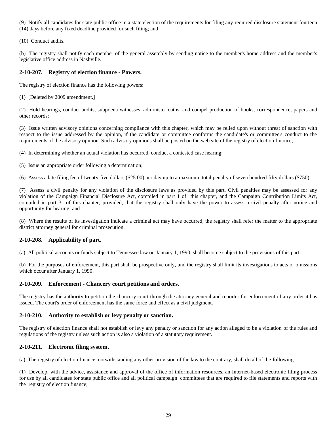(9) Notify all candidates for state public office in a state election of the requirements for filing any required disclosure statement fourteen (14) days before any fixed deadline provided for such filing; and

(10) Conduct audits.

(b) The registry shall notify each member of the general assembly by sending notice to the member's home address and the member's legislative office address in Nashville.

# **2-10-207. Registry of election finance - Powers.**

The registry of election finance has the following powers:

(1) [Deleted by 2009 amendment.]

(2) Hold hearings, conduct audits, subpoena witnesses, administer oaths, and compel production of books, correspondence, papers and other records;

(3) Issue written advisory opinions concerning compliance with this chapter, which may be relied upon without threat of sanction with respect to the issue addressed by the opinion, if the candidate or committee conforms the candidate's or committee's conduct to the requirements of the advisory opinion. Such advisory opinions shall be posted on the web site of the registry of election finance;

(4) In determining whether an actual violation has occurred, conduct a contested case hearing;

(5) Issue an appropriate order following a determination;

(6) Assess a late filing fee of twenty-five dollars (\$25.00) per day up to a maximum total penalty of seven hundred fifty dollars (\$750);

(7) Assess a civil penalty for any violation of the disclosure laws as provided by this part. Civil penalties may be assessed for any violation of the Campaign Financial Disclosure Act, compiled in part 1 of this chapter, and the Campaign Contribution Limits Act, compiled in part 3 of this chapter; provided, that the registry shall only have the power to assess a civil penalty after notice and opportunity for hearing; and

(8) Where the results of its investigation indicate a criminal act may have occurred, the registry shall refer the matter to the appropriate district attorney general for criminal prosecution.

# **2-10-208. Applicability of part.**

(a) All political accounts or funds subject to Tennessee law on January 1, 1990, shall become subject to the provisions of this part.

(b) For the purposes of enforcement, this part shall be prospective only, and the registry shall limit its investigations to acts or omissions which occur after January 1, 1990.

# **2-10-209. Enforcement - Chancery court petitions and orders.**

The registry has the authority to petition the chancery court through the attorney general and reporter for enforcement of any order it has issued. The court's order of enforcement has the same force and effect as a civil judgment.

# **2-10-210. Authority to establish or levy penalty or sanction.**

The registry of election finance shall not establish or levy any penalty or sanction for any action alleged to be a violation of the rules and regulations of the registry unless such action is also a violation of a statutory requirement.

# **2-10-211. Electronic filing system.**

(a) The registry of election finance, notwithstanding any other provision of the law to the contrary, shall do all of the following:

(1) Develop, with the advice, assistance and approval of the office of information resources, an Internet-based electronic filing process for use by all candidates for state public office and all political campaign committees that are required to file statements and reports with the registry of election finance;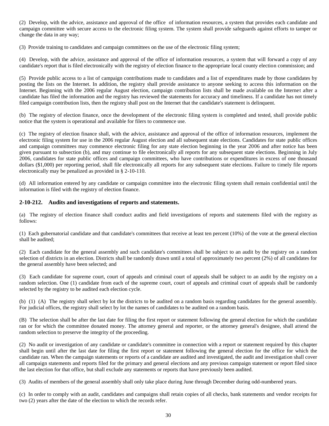(2) Develop, with the advice, assistance and approval of the office of information resources, a system that provides each candidate and campaign committee with secure access to the electronic filing system. The system shall provide safeguards against efforts to tamper or change the data in any way;

(3) Provide training to candidates and campaign committees on the use of the electronic filing system;

(4) Develop, with the advice, assistance and approval of the office of information resources, a system that will forward a copy of any candidate's report that is filed electronically with the registry of election finance to the appropriate local county election commission; and

(5) Provide public access to a list of campaign contributions made to candidates and a list of expenditures made by those candidates by posting the lists on the Internet. In addition, the registry shall provide assistance to anyone seeking to access this information on the Internet. Beginning with the 2006 regular August election, campaign contribution lists shall be made available on the Internet after a candidate has filed the information and the registry has reviewed the statements for accuracy and timeliness. If a candidate has not timely filed campaign contribution lists, then the registry shall post on the Internet that the candidate's statement is delinquent.

(b) The registry of election finance, once the development of the electronic filing system is completed and tested, shall provide public notice that the system is operational and available for filers to commence use.

(c) The registry of election finance shall, with the advice, assistance and approval of the office of information resources, implement the electronic filing system for use in the 2006 regular August election and all subsequent state elections. Candidates for state public offices and campaign committees may commence electronic filing for any state election beginning in the year 2006 and after notice has been given pursuant to subsection (b), and may continue to file electronically all reports for any subsequent state elections. Beginning in July 2006, candidates for state public offices and campaign committees, who have contributions or expenditures in excess of one thousand dollars (\$1,000) per reporting period, shall file electronically all reports for any subsequent state elections. Failure to timely file reports electronically may be penalized as provided in § 2-10-110.

(d) All information entered by any candidate or campaign committee into the electronic filing system shall remain confidential until the information is filed with the registry of election finance.

# **2-10-212. Audits and investigations of reports and statements.**

(a) The registry of election finance shall conduct audits and field investigations of reports and statements filed with the registry as follows:

(1) Each gubernatorial candidate and that candidate's committees that receive at least ten percent (10%) of the vote at the general election shall be audited;

(2) Each candidate for the general assembly and such candidate's committees shall be subject to an audit by the registry on a random selection of districts in an election. Districts shall be randomly drawn until a total of approximately two percent (2%) of all candidates for the general assembly have been selected; and

(3) Each candidate for supreme court, court of appeals and criminal court of appeals shall be subject to an audit by the registry on a random selection. One (1) candidate from each of the supreme court, court of appeals and criminal court of appeals shall be randomly selected by the registry to be audited each election cycle.

(b) (1) (A) The registry shall select by lot the districts to be audited on a random basis regarding candidates for the general assembly. For judicial offices, the registry shall select by lot the names of candidates to be audited on a random basis.

(B) The selection shall be after the last date for filing the first report or statement following the general election for which the candidate ran or for which the committee donated money. The attorney general and reporter, or the attorney general's designee, shall attend the random selection to preserve the integrity of the proceeding.

(2) No audit or investigation of any candidate or candidate's committee in connection with a report or statement required by this chapter shall begin until after the last date for filing the first report or statement following the general election for the office for which the candidate ran. When the campaign statements or reports of a candidate are audited and investigated, the audit and investigation shall cover all campaign statements and reports filed for the primary and general elections and any previous campaign statement or report filed since the last election for that office, but shall exclude any statements or reports that have previously been audited.

(3) Audits of members of the general assembly shall only take place during June through December during odd-numbered years.

(c) In order to comply with an audit, candidates and campaigns shall retain copies of all checks, bank statements and vendor receipts for two (2) years after the date of the election to which the records refer.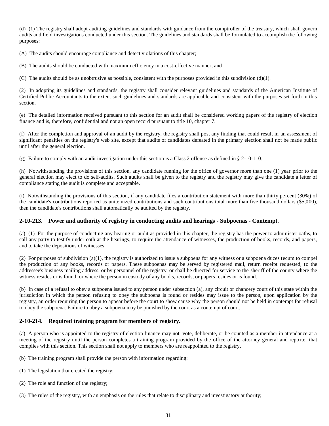(d) (1) The registry shall adopt auditing guidelines and standards with guidance from the comptroller of the treasury, which shall govern audits and field investigations conducted under this section. The guidelines and standards shall be formulated to accomplish the following purposes:

(A) The audits should encourage compliance and detect violations of this chapter;

(B) The audits should be conducted with maximum efficiency in a cost-effective manner; and

(C) The audits should be as unobtrusive as possible, consistent with the purposes provided in this subdivision  $(d)(1)$ .

(2) In adopting its guidelines and standards, the registry shall consider relevant guidelines and standards of the American Institute of Certified Public Accountants to the extent such guidelines and standards are applicable and consistent with the purposes set forth in this section.

(e) The detailed information received pursuant to this section for an audit shall be considered working papers of the registry of election finance and is, therefore, confidential and not an open record pursuant to title 10, chapter 7.

(f) After the completion and approval of an audit by the registry, the registry shall post any finding that could result in an assessment of significant penalties on the registry's web site, except that audits of candidates defeated in the primary election shall not be made public until after the general election.

(g) Failure to comply with an audit investigation under this section is a Class 2 offense as defined in § 2-10-110.

(h) Notwithstanding the provisions of this section, any candidate running for the office of governor more than one (1) year prior to the general election may elect to do self-audits. Such audits shall be given to the registry and the registry may give the candidate a letter of compliance stating the audit is complete and acceptable.

(i) Notwithstanding the provisions of this section, if any candidate files a contribution statement with more than thirty percent (30%) of the candidate's contributions reported as unitemized contributions and such contributions total more than five thousand dollars (\$5,000), then the candidate's contributions shall automatically be audited by the registry.

# **2-10-213. Power and authority of registry in conducting audits and hearings - Subpoenas - Contempt.**

(a) (1) For the purpose of conducting any hearing or audit as provided in this chapter, the registry has the power to administer oaths, to call any party to testify under oath at the hearings, to require the attendance of witnesses, the production of books, records, and papers, and to take the depositions of witnesses.

(2) For purposes of subdivision (a)(1), the registry is authorized to issue a subpoena for any witness or a subpoena duces tecum to compel the production of any books, records or papers. These subpoenas may be served by registered mail, return receipt requested, to the addressee's business mailing address, or by personnel of the registry, or shall be directed for service to the sheriff of the county where the witness resides or is found, or where the person in custody of any books, records, or papers resides or is found.

(b) In case of a refusal to obey a subpoena issued to any person under subsection (a), any circuit or chancery court of this state within the jurisdiction in which the person refusing to obey the subpoena is found or resides may issue to the person, upon application by the registry, an order requiring the person to appear before the court to show cause why the person should not be held in contempt for refusal to obey the subpoena. Failure to obey a subpoena may be punished by the court as a contempt of court.

# **2-10-214. Required training program for members of registry.**

(a) A person who is appointed to the registry of election finance may not vote, deliberate, or be counted as a member in attendance at a meeting of the registry until the person completes a training program provided by the office of the attorney general and reporter that complies with this section. This section shall not apply to members who are reappointed to the registry.

- (b) The training program shall provide the person with information regarding:
- (1) The legislation that created the registry;
- (2) The role and function of the registry;
- (3) The rules of the registry, with an emphasis on the rules that relate to disciplinary and investigatory authority;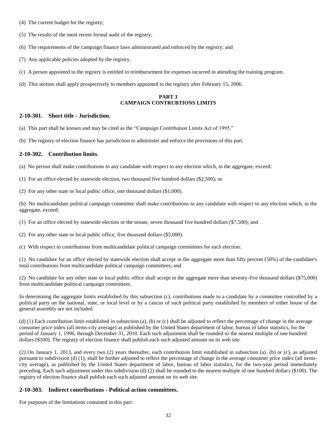- (4) The current budget for the registry;
- (5) The results of the most recent formal audit of the registry;
- (6) The requirements of the campaign finance laws administrated and enforced by the registry; and
- (7) Any applicable policies adopted by the registry.
- (c) A person appointed to the registry is entitled to reimbursement for expenses incurred in attending the training program.
- (d) This section shall apply prospectively to members appointed to the registry after February 15, 2006.

## **PART 3 CAMPAIGN CONTRUBTIONS LIMITS**

## **2-10-301. Short title - Jurisdiction.**

- (a) This part shall be known and may be cited as the "Campaign Contribution Limits Act of 1995."
- (b) The registry of election finance has jurisdiction to administer and enforce the provisions of this part.

# **2-10-302. Contribution limits**.

(a) No person shall make contributions to any candidate with respect to any election which, in the aggregate, exceed:

(1) For an office elected by statewide election, two thousand five hundred dollars (\$2,500); or

(2) For any other state or local public office, one thousand dollars (\$1,000).

(b) No multicandidate political campaign committee shall make contributions to any candidate with respect to any election which, in the aggregate, exceed:

(1) For an office elected by statewide election or the senate, seven thousand five hundred dollars (\$7,500); and

(2) For any other state or local public office, five thousand dollars (\$5,000).

(c) With respect to contributions from multicandidate political campaign committees for each election:

(1) No candidate for an office elected by statewide election shall accept in the aggregate more than fifty percent (50%) of the candidate's total contributions from multicandidate political campaign committees; and

(2) No candidate for any other state or local public office shall accept in the aggregate more than seventy-five thousand dollars (\$75,000) from multicandidate political campaign committees.

In determining the aggregate limits established by this subsection (c), contributions made to a candidate by a committee controlled by a political party on the national, state, or local level or by a caucus of such political party established by members of either house of the general assembly are not included.

(d) (1) Each contribution limit established in subsection (a), (b) or (c) shall be adjusted to reflect the percentage of change in the average consumer price index (all items-city average) as published by the United States department of labor, bureau of labor statistics, for the period of January 1, 1996, through December 31, 2010. Each such adjustment shall be rounded to the nearest multiple of one hundred dollars (\$100). The registry of election finance shall publish each such adjusted amount on its web site.

(2) On January 1, 2013, and every two (2) years thereafter, each contribution limit established in subsection (a), (b) or (c), as adjusted pursuant to subdivision (d) (1), shall be further adjusted to reflect the percentage of change in the average consumer price index (all itemscity average), as published by the United States department of labor, bureau of labor statistics, for the two-year period immediately preceding. Each such adjustment under this subdivision (d) (2) shall be rounded to the nearest multiple of one hundred dollars (\$100). The registry of election finance shall publish each such adjusted amount on its web site.

# **2-10-303. Indirect contributions - Political action committees.**

For purposes of the limitations contained in this part: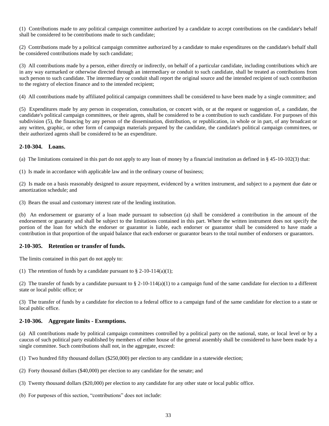(1) Contributions made to any political campaign committee authorized by a candidate to accept contributions on the candidate's behalf shall be considered to be contributions made to such candidate;

(2) Contributions made by a political campaign committee authorized by a candidate to make expenditures on the candidate's behalf shall be considered contributions made by such candidate;

(3) All contributions made by a person, either directly or indirectly, on behalf of a particular candidate, including contributions which are in any way earmarked or otherwise directed through an intermediary or conduit to such candidate, shall be treated as contributions from such person to such candidate. The intermediary or conduit shall report the original source and the intended recipient of such contribution to the registry of election finance and to the intended recipient;

(4) All contributions made by affiliated political campaign committees shall be considered to have been made by a single committee; and

(5) Expenditures made by any person in cooperation, consultation, or concert with, or at the request or suggestion of, a candidate, the candidate's political campaign committees, or their agents, shall be considered to be a contribution to such candidate. For purposes of this subdivision (5), the financing by any person of the dissemination, distribution, or republication, in whole or in part, of any broadcast or any written, graphic, or other form of campaign materials prepared by the candidate, the candidate's political campaign committees, or their authorized agents shall be considered to be an expenditure.

# **2-10-304. Loans.**

(a) The limitations contained in this part do not apply to any loan of money by a financial institution as defined in § 45-10-102(3) that:

(1) Is made in accordance with applicable law and in the ordinary course of business;

(2) Is made on a basis reasonably designed to assure repayment, evidenced by a written instrument, and subject to a payment due date or amortization schedule; and

(3) Bears the usual and customary interest rate of the lending institution.

(b) An endorsement or guaranty of a loan made pursuant to subsection (a) shall be considered a contribution in the amount of the endorsement or guaranty and shall be subject to the limitations contained in this part. Where the written instrument does not specify the portion of the loan for which the endorser or guarantor is liable, each endorser or guarantor shall be considered to have made a contribution in that proportion of the unpaid balance that each endorser or guarantor bears to the total number of endorsers or guarantors.

# **2-10-305. Retention or transfer of funds.**

The limits contained in this part do not apply to:

(1) The retention of funds by a candidate pursuant to  $\S$  2-10-114(a)(1);

(2) The transfer of funds by a candidate pursuant to  $\S 2$ -10-114(a)(1) to a campaign fund of the same candidate for election to a different state or local public office; or

(3) The transfer of funds by a candidate for election to a federal office to a campaign fund of the same candidate for election to a state or local public office.

# **2-10-306. Aggregate limits - Exemptions.**

(a) All contributions made by political campaign committees controlled by a political party on the national, state, or local level or by a caucus of such political party established by members of either house of the general assembly shall be considered to have been made by a single committee. Such contributions shall not, in the aggregate, exceed:

(1) Two hundred fifty thousand dollars (\$250,000) per election to any candidate in a statewide election;

- (2) Forty thousand dollars (\$40,000) per election to any candidate for the senate; and
- (3) Twenty thousand dollars (\$20,000) per election to any candidate for any other state or local public office.
- (b) For purposes of this section, "contributions" does not include: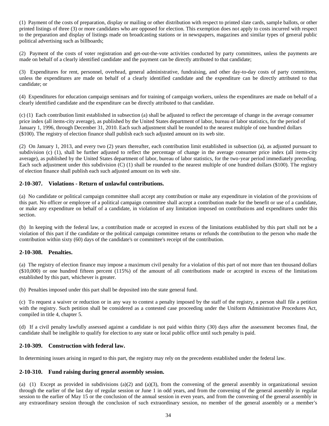(1) Payment of the costs of preparation, display or mailing or other distribution with respect to printed slate cards, sample ballots, or other printed listings of three (3) or more candidates who are opposed for election. This exemption does not apply to costs incurred with respect to the preparation and display of listings made on broadcasting stations or in newspapers, magazines and similar types of general public political advertising such as billboards;

(2) Payment of the costs of voter registration and get-out-the-vote activities conducted by party committees, unless the payments are made on behalf of a clearly identified candidate and the payment can be directly attributed to that candidate;

(3) Expenditures for rent, personnel, overhead, general administrative, fundraising, and other day-to-day costs of party committees, unless the expenditures are made on behalf of a clearly identified candidate and the expenditure can be directly attributed to that candidate; or

(4) Expenditures for education campaign seminars and for training of campaign workers, unless the expenditures are made on behalf of a clearly identified candidate and the expenditure can be directly attributed to that candidate.

(c) (1) Each contribution limit established in subsection (a) shall be adjusted to reflect the percentage of change in the average consumer price index (all items-city average), as published by the United States department of labor, bureau of labor statistics, for the period of January 1, 1996, through December 31, 2010. Each such adjustment shall be rounded to the nearest multiple of one hundred dollars (\$100). The registry of election finance shall publish each such adjusted amount on its web site.

(2) On January 1, 2013, and every two (2) years thereafter, each contribution limit established in subsection (a), as adjusted pursuant to subdivision (c) (1), shall be further adjusted to reflect the percentage of change in the average consumer price index (all items-city average), as published by the United States department of labor, bureau of labor statistics, for the two-year period immediately preceding. Each such adjustment under this subdivision (C) (1) shall be rounded to the nearest multiple of one hundred dollars (\$100). The registry of election finance shall publish each such adjusted amount on its web site.

# **2-10-307. Violations - Return of unlawful contributions.**

(a) No candidate or political campaign committee shall accept any contribution or make any expenditure in violation of the provisions of this part. No officer or employee of a political campaign committee shall accept a contribution made for the benefit or use of a candidate, or make any expenditure on behalf of a candidate, in violation of any limitation imposed on contributions and expenditures under this section.

(b) In keeping with the federal law, a contribution made or accepted in excess of the limitations established by this part shall not be a violation of this part if the candidate or the political campaign committee returns or refunds the contribution to the person who made the contribution within sixty (60) days of the candidate's or committee's receipt of the contribution.

# **2-10-308. Penalties.**

(a) The registry of election finance may impose a maximum civil penalty for a violation of this part of not more than ten thousand dollars (\$10,000) or one hundred fifteen percent (115%) of the amount of all contributions made or accepted in excess of the limitations established by this part, whichever is greater.

(b) Penalties imposed under this part shall be deposited into the state general fund.

(c) To request a waiver or reduction or in any way to contest a penalty imposed by the staff of the registry, a person shall file a petition with the registry. Such petition shall be considered as a contested case proceeding under the Uniform Administrative Procedures Act, compiled in title 4, chapter 5.

(d) If a civil penalty lawfully assessed against a candidate is not paid within thirty (30) days after the assessment becomes final, the candidate shall be ineligible to qualify for election to any state or local public office until such penalty is paid.

# **2-10-309. Construction with federal law.**

In determining issues arising in regard to this part, the registry may rely on the precedents established under the federal law.

# **2-10-310. Fund raising during general assembly session.**

(a) (1) Except as provided in subdivisions (a)(2) and (a)(3), from the convening of the general assembly in organizational session through the earlier of the last day of regular session or June 1 in odd years, and from the convening of the general assembly in regular session to the earlier of May 15 or the conclusion of the annual session in even years, and from the convening of the general assembly in any extraordinary session through the conclusion of such extraordinary session, no member of the general assembly or a member's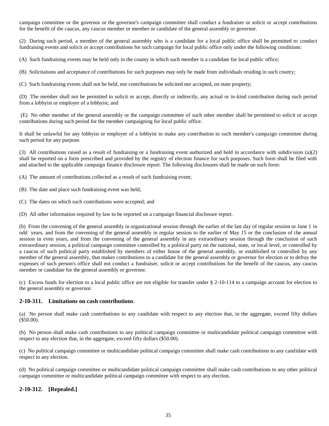campaign committee or the governor or the governor's campaign committee shall conduct a fundraiser or solicit or accept contributions for the benefit of the caucus, any caucus member or member or candidate of the general assembly or governor.

(2) During such period, a member of the general assembly who is a candidate for a local public office shall be permitted to conduct fundraising events and solicit or accept contributions for such campaign for local public office only under the following conditions:

(A) Such fundraising events may be held only in the county in which such member is a candidate for local public office;

(B) Solicitations and acceptance of contributions for such purposes may only be made from individuals residing in such county;

(C) Such fundraising events shall not be held, nor contributions be solicited nor accepted, on state property;

(D) The member shall not be permitted to solicit or accept, directly or indirectly, any actual or in-kind contribution during such period from a lobbyist or employer of a lobbyist; and

(E) No other member of the general assembly or the campaign committee of such other member shall be permitted to solicit or accept contributions during such period for the member campaigning for local public office.

It shall be unlawful for any lobbyist or employer of a lobbyist to make any contribution to such member's campaign committee during such period for any purpose.

(3) All contributions raised as a result of fundraising or a fundraising event authorized and held in accordance with subdivision (a)(2) shall be reported on a form prescribed and provided by the registry of election finance for such purposes. Such form shall be filed with and attached to the applicable campaign finance disclosure report. The following disclosures shall be made on such form:

(A) The amount of contributions collected as a result of such fundraising event;

- (B) The date and place such fundraising event was held;
- (C) The dates on which such contributions were accepted; and

(D) All other information required by law to be reported on a campaign financial disclosure report.

(b) From the convening of the general assembly in organizational session through the earlier of the last day of regular session or June 1 in odd years, and from the convening of the general assembly in regular session to the earlier of May 15 or the conclusion of the annual session in even years, and from the convening of the general assembly in any extraordinary session through the conclusion of such extraordinary session, a political campaign committee controlled by a political party on the national, state, or local level, or controlled by a caucus of such political party established by members of either house of the general assembly, or established or controlled by any member of the general assembly, that makes contributions to a candidate for the general assembly or governor for election or to defray the expenses of such person's office shall not conduct a fundraiser, solicit or accept contributions for the benefit of the caucus, any caucus member or candidate for the general assembly or governor.

(c) Excess funds for election to a local public office are not eligible for transfer under § 2-10-114 to a campaign account for election to the general assembly or governor.

#### **2-10-311. Limitations on cash contributions**.

(a) No person shall make cash contributions to any candidate with respect to any election that, in the aggregate, exceed fifty dollars (\$50.00).

(b) No person shall make cash contributions to any political campaign committee or multicandidate political campaign committee with respect to any election that, in the aggregate, exceed fifty dollars (\$50.00).

(c) No political campaign committee or multicandidate political campaign committee shall make cash contributions to any candidate with respect to any election.

(d) No political campaign committee or multicandidate political campaign committee shall make cash contributions to any other political campaign committee or multicandidate political campaign committee with respect to any election.

#### **2-10-312. [Repealed.]**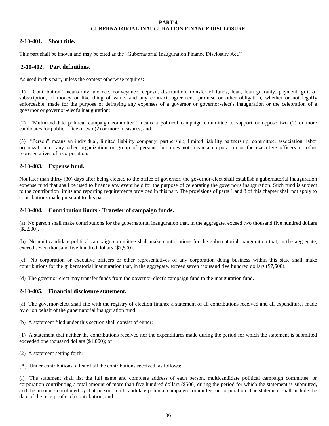#### **PART 4 GUBERNATORIAL INAUGURATION FINANCE DISCLOSURE**

# **2-10-401. Short title.**

This part shall be known and may be cited as the "Gubernatorial Inauguration Finance Disclosure Act."

# **2-10-402. Part definitions.**

As used in this part, unless the context otherwise requires:

(1) "Contribution" means any advance, conveyance, deposit, distribution, transfer of funds, loan, loan guaranty, payment, gift, or subscription, of money or like thing of value, and any contract, agreement, promise or other obligation, whether or not legally enforceable, made for the purpose of defraying any expenses of a governor or governor-elect's inauguration or the celebration of a governor or governor-elect's inauguration;

(2) "Multicandidate political campaign committee" means a political campaign committee to support or oppose two (2) or more candidates for public office or two (2) or more measures; and

(3) "Person" means an individual, limited liability company, partnership, limited liability partnership, committee, association, labor organization or any other organization or group of persons, but does not mean a corporation or the executive officers or other representatives of a corporation.

# **2-10-403. Expense fund.**

Not later than thirty (30) days after being elected to the office of governor, the governor-elect shall establish a gubernatorial inauguration expense fund that shall be used to finance any event held for the purpose of celebrating the governor's inauguration. Such fund is subject to the contribution limits and reporting requirements provided in this part. The provisions of parts 1 and 3 of this chapter shall not apply to contributions made pursuant to this part.

# **2-10-404. Contribution limits - Transfer of campaign funds.**

(a) No person shall make contributions for the gubernatorial inauguration that, in the aggregate, exceed two thousand five hundred dollars (\$2,500).

(b) No multicandidate political campaign committee shall make contributions for the gubernatorial inauguration that, in the aggregate, exceed seven thousand five hundred dollars (\$7,500).

(c) No corporation or executive officers or other representatives of any corporation doing business within this state shall make contributions for the gubernatorial inauguration that, in the aggregate, exceed seven thousand five hundred dollars (\$7,500).

(d) The governor-elect may transfer funds from the governor-elect's campaign fund to the inauguration fund.

# **2-10-405. Financial disclosure statement.**

(a) The governor-elect shall file with the registry of election finance a statement of all contributions received and all expenditures made by or on behalf of the gubernatorial inauguration fund.

(b) A statement filed under this section shall consist of either:

(1) A statement that neither the contributions received nor the expenditures made during the period for which the statement is submitted exceeded one thousand dollars (\$1,000); or

(2) A statement setting forth:

(A) Under contributions, a list of all the contributions received, as follows:

(i) The statement shall list the full name and complete address of each person, multicandidate political campaign committee, or corporation contributing a total amount of more than five hundred dollars (\$500) during the period for which the statement is submitted, and the amount contributed by that person, multicandidate political campaign committee, or corporation. The statement shall include the date of the receipt of each contribution; and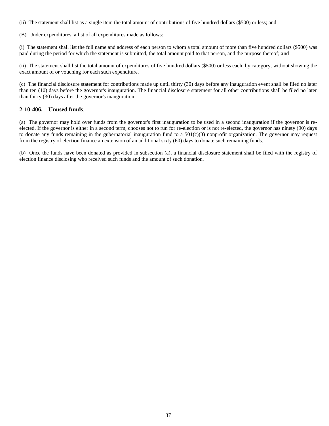(ii) The statement shall list as a single item the total amount of contributions of five hundred dollars (\$500) or less; and

(B) Under expenditures, a list of all expenditures made as follows:

(i) The statement shall list the full name and address of each person to whom a total amount of more than five hundred dollars (\$500) was paid during the period for which the statement is submitted, the total amount paid to that person, and the purpose thereof; and

(ii) The statement shall list the total amount of expenditures of five hundred dollars (\$500) or less each, by category, without showing the exact amount of or vouching for each such expenditure.

(c) The financial disclosure statement for contributions made up until thirty (30) days before any inauguration event shall be filed no later than ten (10) days before the governor's inauguration. The financial disclosure statement for all other contributions shall be filed no later than thirty (30) days after the governor's inauguration.

# **2-10-406. Unused funds**.

(a) The governor may hold over funds from the governor's first inauguration to be used in a second inauguration if the governor is reelected. If the governor is either in a second term, chooses not to run for re-election or is not re-elected, the governor has ninety (90) days to donate any funds remaining in the gubernatorial inauguration fund to a  $501(c)(3)$  nonprofit organization. The governor may request from the registry of election finance an extension of an additional sixty (60) days to donate such remaining funds.

(b) Once the funds have been donated as provided in subsection (a), a financial disclosure statement shall be filed with the registry of election finance disclosing who received such funds and the amount of such donation.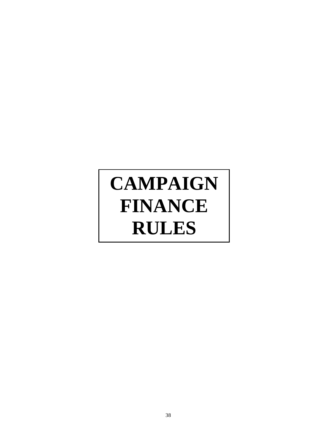# **CAMPAIGN FINANCE RULES**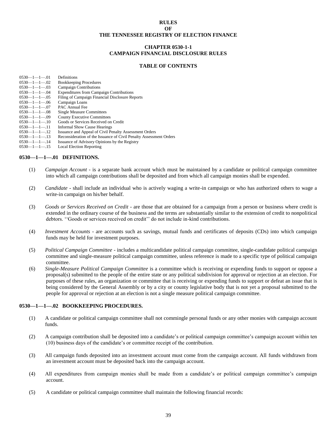## **RULES OF THE TENNESSEE REGISTRY OF ELECTION FINANCE**

# **CHAPTER 0530-1-1 CAMPAIGN FINANCIAL DISCLOSURE RULES**

#### **TABLE OF CONTENTS**

<span id="page-39-0"></span>

| $0530 - 1 - 1 - 01$ | Definitions                                                        |
|---------------------|--------------------------------------------------------------------|
| $0530 - 1 - 1 - 02$ | <b>Bookkeeping Procedures</b>                                      |
| $0530 - 1 - 1 - 03$ | <b>Campaign Contributions</b>                                      |
| $0530 - 1 - 1 - 04$ | <b>Expenditures from Campaign Contributions</b>                    |
| $0530 - 1 - 1 - 05$ | Filing of Campaign Financial Disclosure Reports                    |
| $0530 - 1 - 1 - 06$ | Campaign Loans                                                     |
| $0530 - 1 - 1 - 07$ | <b>PAC Annual Fee</b>                                              |
| $0530 - 1 - 1 - 08$ | <b>Single Measure Committees</b>                                   |
| $0530 - 1 - 1 - 09$ | <b>County Executive Committees</b>                                 |
| $0530 - 1 - 1 - 10$ | Goods or Services Received on Credit                               |
| $0530 - 1 - 1 - 11$ | <b>Informal Show Cause Hearings</b>                                |
| $0530 - 1 - 1 - 12$ | Issuance and Appeal of Civil Penalty Assessment Orders             |
| $0530 - 1 - 1 - 13$ | Reconsideration of the Issuance of Civil Penalty Assessment Orders |
| $0530 - 1 - 1 - 14$ | Issuance of Advisory Opinions by the Registry                      |
| $0530 - 1 - 1 - 15$ | Local Election Reporting                                           |

#### **0530—1—1—.01 DEFINITIONS.**

- (1) *Campaign Account* is a separate bank account which must be maintained by a candidate or political campaign committee into which all campaign contributions shall be deposited and from which all campaign monies shall be expended.
- (2) *Candidate*  shall include an individual who is actively waging a write-in campaign or who has authorized others to wage a write-in campaign on his/her behalf.
- (3) *Goods or Services Received on Credit*  are those that are obtained for a campaign from a person or business where credit is extended in the ordinary course of the business and the terms are substantially similar to the extension of credit to nonpolitical debtors. ''Goods or services received on credit'' do not include in-kind contributions.
- (4) *Investment Accounts*  are accounts such as savings, mutual funds and certificates of deposits (CDs) into which campaign funds may be held for investment purposes.
- (5) *Political Campaign Committee*  includes a multicandidate political campaign committee, single-candidate political campaign committee and single-measure political campaign committee, unless reference is made to a specific type of political campaign committee.
- (6) *Single-Measure Political Campaign Committee* is a committee which is receiving or expending funds to support or oppose a proposal(s) submitted to the people of the entire state or any political subdivision for approval or rejection at an election. For purposes of these rules, an organization or committee that is receiving or expending funds to support or defeat an issue that is being considered by the General Assembly or by a city or county legislative body that is not yet a proposal submitted to the people for approval or rejection at an election is not a single measure political campaign committee.

#### **0530—1—1—.02 BOOKKEEPING PROCEDURES.**

- (1) A candidate or political campaign committee shall not commingle personal funds or any other monies with campaign account funds.
- (2) A campaign contribution shall be deposited into a candidate's or political campaign committee's campaign account within ten (10) business days of the candidate's or committee receipt of the contribution.
- (3) All campaign funds deposited into an investment account must come from the campaign account. All funds withdrawn from an investment account must be deposited back into the campaign account.
- (4) All expenditures from campaign monies shall be made from a candidate's or political campaign committee's campaign account.
- (5) A candidate or political campaign committee shall maintain the following financial records: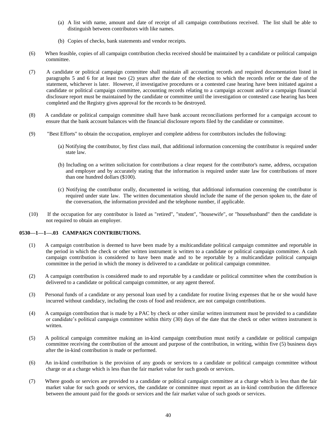- (a) A list with name, amount and date of receipt of all campaign contributions received. The list shall be able to distinguish between contributors with like names.
- (b) Copies of checks, bank statements and vendor receipts.
- (6) When feasible, copies of all campaign contribution checks received should be maintained by a candidate or political campaign committee.
- (7) A candidate or political campaign committee shall maintain all accounting records and required documentation listed in paragraphs 5 and 6 for at least two (2) years after the date of the election to which the records refer or the date of the statement, whichever is later. However, if investigative procedures or a contested case hearing have been initiated against a candidate or political campaign committee, accounting records relating to a campaign account and/or a campaign financial disclosure report must be maintained by the candidate or committee until the investigation or contested case hearing has been completed and the Registry gives approval for the records to be destroyed.
- (8) A candidate or political campaign committee shall have bank account reconciliations performed for a campaign account to ensure that the bank account balances with the financial disclosure reports filed by the candidate or committee.
- (9) "Best Efforts" to obtain the occupation, employer and complete address for contributors includes the following:
	- (a) Notifying the contributor, by first class mail, that additional information concerning the contributor is required under state law.
	- (b) Including on a written solicitation for contributions a clear request for the contributor's name, address, occupation and employer and by accurately stating that the information is required under state law for contributions of more than one hundred dollars (\$100).
	- (c) Notifying the contributor orally, documented in writing, that additional information concerning the contributor is required under state law. The written documentation should include the name of the person spoken to, the date of the conversation, the information provided and the telephone number, if applicable.
- (10) If the occupation for any contributor is listed as "retired", "student", "housewife", or "househusband" then the candidate is not required to obtain an employer.

#### **0530—1—1—.03 CAMPAIGN CONTRIBUTIONS.**

- (1) A campaign contribution is deemed to have been made by a multicandidate political campaign committee and reportable in the period in which the check or other written instrument is written to a candidate or political campaign committee. A cash campaign contribution is considered to have been made and to be reportable by a multicandidate political campaign committee in the period in which the money is delivered to a candidate or political campaign committee.
- (2) A campaign contribution is considered made to and reportable by a candidate or political committee when the contribution is delivered to a candidate or political campaign committee, or any agent thereof.
- (3) Personal funds of a candidate or any personal loan used by a candidate for routine living expenses that he or she would have incurred without candidacy, including the costs of food and residence, are not campaign contributions.
- (4) A campaign contribution that is made by a PAC by check or other similar written instrument must be provided to a candidate or candidate's political campaign committee within thirty (30) days of the date that the check or other written instrument is written.
- (5) A political campaign committee making an in-kind campaign contribution must notify a candidate or political campaign committee receiving the contribution of the amount and purpose of the contribution, in writing, within five (5) business days after the in-kind contribution is made or performed.
- (6) An in-kind contribution is the provision of any goods or services to a candidate or political campaign committee without charge or at a charge which is less than the fair market value for such goods or services.
- (7) Where goods or services are provided to a candidate or political campaign committee at a charge which is less than the fair market value for such goods or services, the candidate or committee must report as an in-kind contribution the difference between the amount paid for the goods or services and the fair market value of such goods or services.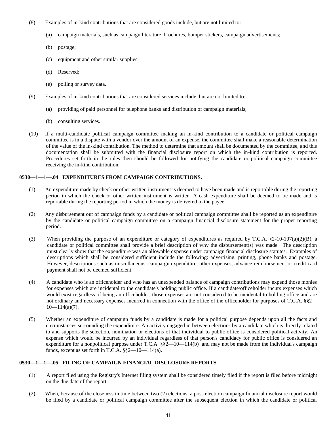- (8) Examples of in-kind contributions that are considered goods include, but are not limited to:
	- (a) campaign materials, such as campaign literature, brochures, bumper stickers, campaign advertisements;
	- (b) postage;
	- (c) equipment and other similar supplies;
	- (d) Reserved;
	- (e) polling or survey data.
- (9) Examples of in-kind contributions that are considered services include, but are not limited to:
	- (a) providing of paid personnel for telephone banks and distribution of campaign materials;
	- (b) consulting services.
- (10) If a multi-candidate political campaign committee making an in-kind contribution to a candidate or political campaign committee is in a dispute with a vendor over the amount of an expense, the committee shall make a reasonable determination of the value of the in-kind contribution. The method to determine that amount shall be documented by the committee, and this documentation shall be submitted with the financial disclosure report on which the in-kind contribution is reported. Procedures set forth in the rules then should be followed for notifying the candidate or political campaign committee receiving the in-kind contribution.

# **0530—1—1—.04 EXPENDITURES FROM CAMPAIGN CONTRIBUTIONS.**

- (1) An expenditure made by check or other written instrument is deemed to have been made and is reportable during the reporting period in which the check or other written instrument is written. A cash expenditure shall be deemed to be made and is reportable during the reporting period in which the money is delivered to the payee.
- (2) Any disbursement out of campaign funds by a candidate or political campaign committee shall be reported as an expenditure by the candidate or political campaign committee on a campaign financial disclosure statement for the proper reporting period.
- (3) When providing the purpose of an expenditure or category of expenditures as required by T.C.A.  $\S2-10-107(a)(2)(B)$ , a candidate or political committee shall provide a brief description of why the disbursement(s) was made. The description must clearly show that the expenditure was an allowable expense under campaign financial disclosure statutes. Examples of descriptions which shall be considered sufficient include the following: advertising, printing, phone banks and postage. However, descriptions such as miscellaneous, campaign expenditure, other expenses, advance reimbursement or credit card payment shall not be deemed sufficient.
- (4) A candidate who is an officeholder and who has an unexpended balance of campaign contributions may expend those monies for expenses which are incidental to the candidate's holding public office. If a candidate/officeholder incurs expenses which would exist regardless of being an officeholder, those expenses are not considered to be incidental to holding office and are not ordinary and necessary expenses incurred in connection with the office of the officeholder for purposes of T.C.A. §§2—  $10 - 114(a)(7)$ .
- (5) Whether an expenditure of campaign funds by a candidate is made for a political purpose depends upon all the facts and circumstances surrounding the expenditure. An activity engaged in between elections by a candidate which is directly related to and supports the selection, nomination or elections of that individual to public office is considered political activity. An expense which would be incurred by an individual regardless of that person's candidacy for public office is considered an expenditure for a nonpolitical purpose under T.C.A.  $\S2-10-114(b)$  and may not be made from the individual's campaign funds, except as set forth in T.C.A.  $\S$  $\S$ <sup>2</sup> $-10$  - 114(a).

#### **0530—1—1—.05 FILING OF CAMPAIGN FINANCIAL DISCLOSURE REPORTS.**

- (1) A report filed using the Registry's Internet filing system shall be considered timely filed if the report is filed before midnight on the due date of the report.
- (2) When, because of the closeness in time between two (2) elections, a post-election campaign financial disclosure report would be filed by a candidate or political campaign committee after the subsequent election in which the candidate or political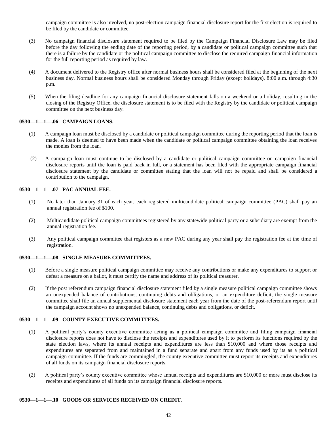campaign committee is also involved, no post-election campaign financial disclosure report for the first election is required to be filed by the candidate or committee.

- (3) No campaign financial disclosure statement required to be filed by the Campaign Financial Disclosure Law may be filed before the day following the ending date of the reporting period, by a candidate or political campaign committee such that there is a failure by the candidate or the political campaign committee to disclose the required campaign financial information for the full reporting period as required by law.
- (4) A document delivered to the Registry office after normal business hours shall be considered filed at the beginning of the next business day. Normal business hours shall be considered Monday through Friday (except holidays), 8:00 a.m. through 4:30 p.m.
- (5) When the filing deadline for any campaign financial disclosure statement falls on a weekend or a holiday, resulting in the closing of the Registry Office, the disclosure statement is to be filed with the Registry by the candidate or political campaign committee on the next business day.

# **0530—1—1—.06 CAMPAIGN LOANS.**

- (1) A campaign loan must be disclosed by a candidate or political campaign committee during the reporting period that the loan is made. A loan is deemed to have been made when the candidate or political campaign committee obtaining the loan receives the monies from the loan.
- (2) A campaign loan must continue to be disclosed by a candidate or political campaign committee on campaign financial disclosure reports until the loan is paid back in full, or a statement has been filed with the appropriate campaign financial disclosure statement by the candidate or committee stating that the loan will not be repaid and shall be considered a contribution to the campaign.

# **0530—1—1—.07 PAC ANNUAL FEE.**

- (1) No later than January 31 of each year, each registered multicandidate political campaign committee (PAC) shall pay an annual registration fee of \$100.
- (2) Multicandidate political campaign committees registered by any statewide political party or a subsidiary are exempt from the annual registration fee.
- (3) Any political campaign committee that registers as a new PAC during any year shall pay the registration fee at the time of registration.

# **0530—1—1—.08 SINGLE MEASURE COMMITTEES.**

- (1) Before a single measure political campaign committee may receive any contributions or make any expenditures to support or defeat a measure on a ballot, it must certify the name and address of its political treasurer.
- (2) If the post referendum campaign financial disclosure statement filed by a single measure political campaign committee shows an unexpended balance of contributions, continuing debts and obligations, or an expenditure deficit, the single measure committee shall file an annual supplemental disclosure statement each year from the date of the post-referendum report until the campaign account shows no unexpended balance, continuing debts and obligations, or deficit.

## **0530—1—1—.09 COUNTY EXECUTIVE COMMITTEES.**

- (1) A political party's county executive committee acting as a political campaign committee and filing campaign financial disclosure reports does not have to disclose the receipts and expenditures used by it to perform its functions required by the state election laws, where its annual receipts and expenditures are less than \$10,000 and where those receipts and expenditures are separated from and maintained in a fund separate and apart from any funds used by its as a political campaign committee. If the funds are commingled, the county executive committee must report its receipts and expenditures of all funds on its campaign financial disclosure reports.
- (2) A political party's county executive committee whose annual receipts and expenditures are \$10,000 or more must disclose its receipts and expenditures of all funds on its campaign financial disclosure reports.

#### **0530—1—1—.10 GOODS OR SERVICES RECEIVED ON CREDIT.**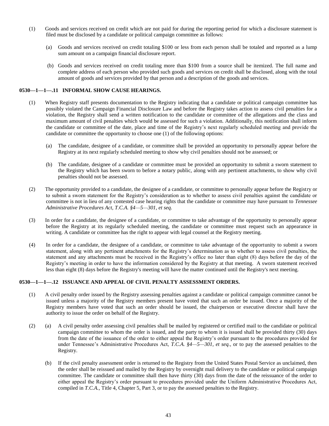- (1) Goods and services received on credit which are not paid for during the reporting period for which a disclosure statement is filed must be disclosed by a candidate or political campaign committee as follows:
	- (a) Goods and services received on credit totaling \$100 or less from each person shall be totaled and reported as a lump sum amount on a campaign financial disclosure report.
	- (b) Goods and services received on credit totaling more than \$100 from a source shall be itemized. The full name and complete address of each person who provided such goods and services on credit shall be disclosed, along with the total amount of goods and services provided by that person and a description of the goods and services.

## **0530—1—1—.11 INFORMAL SHOW CAUSE HEARINGS.**

- (1) When Registry staff presents documentation to the Registry indicating that a candidate or political campaign committee has possibly violated the Campaign Financial Disclosure Law and before the Registry takes action to assess civil penalties for a violation, the Registry shall send a written notification to the candidate or committee of the allegations and the class and maximum amount of civil penalties which would be assessed for such a violation. Additionally, this notification shall inform the candidate or committee of the date, place and time of the Registry's next regularly scheduled meeting and provide the candidate or committee the opportunity to choose one (1) of the following options:
	- (a) The candidate, designee of a candidate, or committee shall be provided an opportunity to personally appear before the Registry at its next regularly scheduled meeting to show why civil penalties should not be assessed; or
	- (b) The candidate, designee of a candidate or committee must be provided an opportunity to submit a sworn statement to the Registry which has been sworn to before a notary public, along with any pertinent attachments, to show why civil penalties should not be assessed.
- (2) The opportunity provided to a candidate, the designee of a candidate, or committee to personally appear before the Registry or to submit a sworn statement for the Registry's consideration as to whether to assess civil penalties against the candidate or committee is not in lieu of any contested case hearing rights that the candidate or committee may have pursuant to *Tennessee Administrative Procedures Act, T.C.A. §4—5—301, et seq.*
- (3) In order for a candidate, the designee of a candidate, or committee to take advantage of the opportunity to personally appear before the Registry at its regularly scheduled meeting, the candidate or committee must request such an appearance in writing. A candidate or committee has the right to appear with legal counsel at the Registry meeting.
- (4) In order for a candidate, the designee of a candidate, or committee to take advantage of the opportunity to submit a sworn statement, along with any pertinent attachments for the Registry's determination as to whether to assess civil penalties, the statement and any attachments must be received in the Registry's office no later than eight (8) days before the day of the Registry's meeting in order to have the information considered by the Registry at that meeting. A sworn statement received less than eight (8) days before the Registry's meeting will have the matter continued until the Registry's next meeting.

#### **0530—1—1—.12 ISSUANCE AND APPEAL OF CIVIL PENALTY ASSESSMENT ORDERS.**

- (1) A civil penalty order issued by the Registry assessing penalties against a candidate or political campaign committee cannot be issued unless a majority of the Registry members present have voted that such an order be issued. Once a majority of the Registry members have voted that such an order should be issued, the chairperson or executive director shall have the authority to issue the order on behalf of the Registry.
- (2) (a) A civil penalty order assessing civil penalties shall be mailed by registered or certified mail to the candidate or political campaign committee to whom the order is issued, and the party to whom it is issued shall be provided thirty (30) days from the date of the issuance of the order to either appeal the Registry's order pursuant to the procedures provided for under Tennessee's Administrative Procedures Act, *T.C.A. §4—5—301, et seq.,* or to pay the assessed penalties to the Registry.
	- (b) If the civil penalty assessment order is returned to the Registry from the United States Postal Service as unclaimed, then the order shall be reissued and mailed by the Registry by overnight mail delivery to the candidate or political campaign committee. The candidate or committee shall then have thirty (30) days from the date of the reissuance of the order to either appeal the Registry's order pursuant to procedures provided under the Uniform Administrative Procedures Act, compiled in *T.C.A.,* Title 4, Chapter 5, Part 3, or to pay the assessed penalties to the Registry.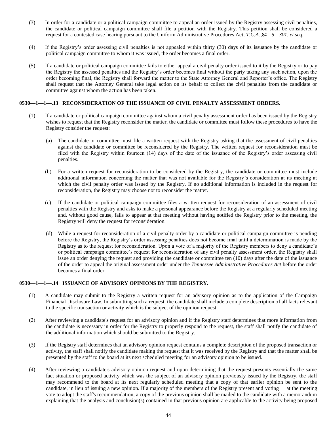- (3) In order for a candidate or a political campaign committee to appeal an order issued by the Registry assessing civil penalties, the candidate or political campaign committee shall file a petition with the Registry. This petition shall be considered a request for a contested case hearing pursuant to the Uniform Administrative Procedures Act, *T.C.A. §4—5—301, et seq.*
- (4) If the Registry's order assessing civil penalties is not appealed within thirty (30) days of its issuance by the candidate or political campaign committee to whom it was issued, the order becomes a final order.
- (5) If a candidate or political campaign committee fails to either appeal a civil penalty order issued to it by the Registry or to pay the Registry the assessed penalties and the Registry's order becomes final without the party taking any such action, upon the order becoming final, the Registry shall forward the matter to the State Attorney General and Reporter's office. The Registry shall request that the Attorney General take legal action on its behalf to collect the civil penalties from the candidate or committee against whom the action has been taken.

## **0530—1—1—.13 RECONSIDERATION OF THE ISSUANCE OF CIVIL PENALTY ASSESSMENT ORDERS.**

- (1) If a candidate or political campaign committee against whom a civil penalty assessment order has been issued by the Registry wishes to request that the Registry reconsider the matter, the candidate or committee must follow these procedures to have the Registry consider the request:
	- (a) The candidate or committee must file a written request with the Registry asking that the assessment of civil penalties against the candidate or committee be reconsidered by the Registry. The written request for reconsideration must be filed with the Registry within fourteen (14) days of the date of the issuance of the Registry's order assessing civil penalties.
	- (b) For a written request for reconsideration to be considered by the Registry, the candidate or committee must include additional information concerning the matter that was not available for the Registry's consideration at its meeting at which the civil penalty order was issued by the Registry. If no additional information is included in the request for reconsideration, the Registry may choose not to reconsider the matter.
	- (c) If the candidate or political campaign committee files a written request for reconsideration of an assessment of civil penalties with the Registry and asks to make a personal appearance before the Registry at a regularly scheduled meeting and, without good cause, fails to appear at that meeting without having notified the Registry prior to the meeting, the Registry will deny the request for reconsideration.
	- (d) While a request for reconsideration of a civil penalty order by a candidate or political campaign committee is pending before the Registry, the Registry's order assessing penalties does not become final until a determination is made by the Registry as to the request for reconsideration. Upon a vote of a majority of the Registry members to deny a candidate's or political campaign committee's request for reconsideration of any civil penalty assessment order, the Registry shall issue an order denying the request and providing the candidate or committee ten (10) days after the date of the issuance of the order to appeal the original assessment order under the *Tennessee Administrative Procedures Act* before the order becomes a final order.

#### **0530—1—1—.14 ISSUANCE OF ADVISORY OPINIONS BY THE REGISTRY.**

- (1) A candidate may submit to the Registry a written request for an advisory opinion as to the application of the Campaign Financial Disclosure Law. In submitting such a request, the candidate shall include a complete description of all facts relevant to the specific transaction or activity which is the subject of the opinion request.
- (2) After reviewing a candidate's request for an advisory opinion and if the Registry staff determines that more information from the candidate is necessary in order for the Registry to properly respond to the request, the staff shall notify the candidate of the additional information which should be submitted to the Registry.
- (3) If the Registry staff determines that an advisory opinion request contains a complete description of the proposed transaction or activity, the staff shall notify the candidate making the request that it was received by the Registry and that the matter shall be presented by the staff to the board at its next scheduled meeting for an advisory opinion to be issued.
- (4) After reviewing a candidate's advisory opinion request and upon determining that the request presents essentially the same fact situation or proposed activity which was the subject of an advisory opinion previously issued by the Registry, the staff may recommend to the board at its next regularly scheduled meeting that a copy of that earlier opinion be sent to the candidate, in lieu of issuing a new opinion. If a majority of the members of the Registry present and voting at the meeting vote to adopt the staff's recommendation, a copy of the previous opinion shall be mailed to the candidate with a memorandum explaining that the analysis and conclusion(s) contained in that previous opinion are applicable to the activity being proposed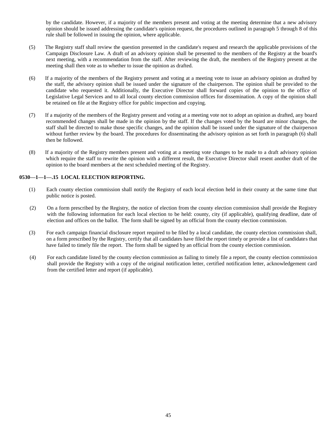by the candidate. However, if a majority of the members present and voting at the meeting determine that a new advisory opinion should be issued addressing the candidate's opinion request, the procedures outlined in paragraph 5 through 8 of this rule shall be followed in issuing the opinion, where applicable.

- (5) The Registry staff shall review the question presented in the candidate's request and research the applicable provisions of the Campaign Disclosure Law. A draft of an advisory opinion shall be presented to the members of the Registry at the board's next meeting, with a recommendation from the staff. After reviewing the draft, the members of the Registry present at the meeting shall then vote as to whether to issue the opinion as drafted.
- (6) If a majority of the members of the Registry present and voting at a meeting vote to issue an advisory opinion as drafted by the staff, the advisory opinion shall be issued under the signature of the chairperson. The opinion shall be provided to the candidate who requested it. Additionally, the Executive Director shall forward copies of the opinion to the office of Legislative Legal Services and to all local county election commission offices for dissemination. A copy of the opinion shall be retained on file at the Registry office for public inspection and copying.
- (7) If a majority of the members of the Registry present and voting at a meeting vote not to adopt an opinion as drafted, any board recommended changes shall be made in the opinion by the staff. If the changes voted by the board are minor changes, the staff shall be directed to make those specific changes, and the opinion shall be issued under the signature of the chairperson without further review by the board. The procedures for disseminating the advisory opinion as set forth in paragraph (6) shall then be followed.
- (8) If a majority of the Registry members present and voting at a meeting vote changes to be made to a draft advisory opinion which require the staff to rewrite the opinion with a different result, the Executive Director shall resent another draft of the opinion to the board members at the next scheduled meeting of the Registry.

# **0530—1—1—.15 LOCAL ELECTION REPORTING.**

- (1) Each county election commission shall notify the Registry of each local election held in their county at the same time that public notice is posted.
- (2) On a form prescribed by the Registry, the notice of election from the county election commission shall provide the Registry with the following information for each local election to be held: county, city (if applicable), qualifying deadline, date of election and offices on the ballot. The form shall be signed by an official from the county election commission.
- (3) For each campaign financial disclosure report required to be filed by a local candidate, the county election commission shall, on a form prescribed by the Registry, certify that all candidates have filed the report timely or provide a list of candidates that have failed to timely file the report. The form shall be signed by an official from the county election commission.
- (4) For each candidate listed by the county election commission as failing to timely file a report, the county election commission shall provide the Registry with a copy of the original notification letter, certified notification letter, acknowledgement card from the certified letter and report (if applicable).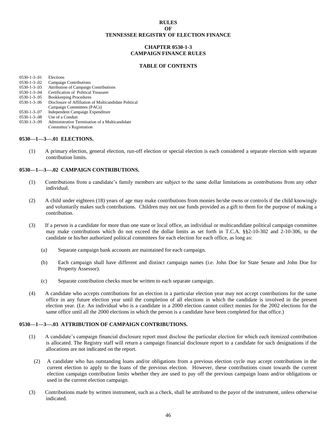# **RULES OF TENNESSEE REGISTRY OF ELECTION FINANCE**

#### **CHAPTER 0530-1-3 CAMPAIGN FINANCE RULES**

#### **TABLE OF CONTENTS**

| $0530 - 1 - 3 - 01$    | Elections                                             |
|------------------------|-------------------------------------------------------|
| $0.530 - 1 - 3 - 0.02$ | Campaign Contributions                                |
| $0530 - 1 - 3 - 03$    | <b>Attribution of Campaign Contributions</b>          |
| $0530 - 1 - 3 - 04$    | Certification of Political Treasurer                  |
| $0530 - 1 - 3 - 05$    | <b>Bookkeeping Procedures</b>                         |
| $0530 - 1 - 3 - 06$    | Disclosure of Affiliation of Multicandidate Political |
|                        | Campaign Committees (PACs)                            |
| $0530 - 1 - 3 - 07$    | Independent Campaign Expenditure                      |
| $0530 - 1 - 3 - 0.08$  | Use of a Conduit                                      |
| $0530 - 1 - 3 - 09$    | Administrative Termination of a Multicandidate        |
|                        | Committee's Registration                              |
|                        |                                                       |
|                        |                                                       |

#### **0530—1—3—.01 ELECTIONS.**

(1) A primary election, general election, run-off election or special election is each considered a separate election with separate contribution limits.

#### **0530—1—3—.02 CAMPAIGN CONTRIBUTIONS.**

- (1) Contributions from a candidate's family members are subject to the same dollar limitations as contributions from any other individual.
- (2) A child under eighteen (18) years of age may make contributions from monies he/she owns or controls if the child knowingly and voluntarily makes such contributions. Children may not use funds provided as a gift to them for the purpose of making a contribution.
- (3) If a person is a candidate for more than one state or local office, an individual or multicandidate political campaign committee may make contributions which do not exceed the dollar limits as set forth in T.C.A. §§2-10-302 and 2-10-306, to the candidate or his/her authorized political committees for each election for each office, as long as:
	- (a) Separate campaign bank accounts are maintained for each campaign.
	- (b) Each campaign shall have different and distinct campaign names (i.e. John Doe for State Senate and John Doe for Property Assessor).
	- (c) Separate contribution checks must be written to each separate campaign.
- (4) A candidate who accepts contributions for an election in a particular election year may not accept contributions for the same office in any future election year until the completion of all elections in which the candidate is involved in the present election year. (I.e. An individual who is a candidate in a 2000 election cannot collect monies for the 2002 elections for the same office until all the 2000 elections in which the person is a candidate have been completed for that office.)

#### **0530—1—3—.03 ATTRIBUTION OF CAMPAIGN CONTRIBUTIONS.**

- (1) A candidate's campaign financial disclosure report must disclose the particular election for which each itemized contribution is allocated. The Registry staff will return a campaign financial disclosure report to a candidate for such designations if the allocations are not indicated on the report.
	- (2) A candidate who has outstanding loans and/or obligations from a previous election cycle may accept contributions in the current election to apply to the loans of the previous election. However, these contributions count towards the current election campaign contribution limits whether they are used to pay off the previous campaign loans and/or obligations or used in the current election campaign.
- (3) Contributions made by written instrument, such as a check, shall be attributed to the payor of the instrument, unless otherwise indicated.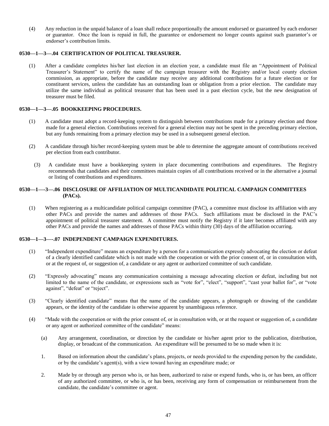(4) Any reduction in the unpaid balance of a loan shall reduce proportionally the amount endorsed or guaranteed by each endorser or guarantor. Once the loan is repaid in full, the guarantee or endorsement no longer counts against such guarantor's or endorser's contribution limits.

# **0530—1—3—.04 CERTIFICATION OF POLITICAL TREASURER.**

(1) After a candidate completes his/her last election in an election year, a candidate must file an "Appointment of Political Treasurer's Statement" to certify the name of the campaign treasurer with the Registry and/or local county election commission, as appropriate, before the candidate may receive any additional contributions for a future election or for constituent services, unless the candidate has an outstanding loan or obligation from a prior election. The candidate may utilize the same individual as political treasurer that has been used in a past election cycle, but the new designation of treasurer must be filed.

#### **0530—1—3—.05 BOOKKEEPING PROCEDURES.**

- (1) A candidate must adopt a record-keeping system to distinguish between contributions made for a primary election and those made for a general election. Contributions received for a general election may not be spent in the preceding primary election, but any funds remaining from a primary election may be used in a subsequent general election.
- (2) A candidate through his/her record-keeping system must be able to determine the aggregate amount of contributions received per election from each contributor.
	- (3) A candidate must have a bookkeeping system in place documenting contributions and expenditures. The Registry recommends that candidates and their committees maintain copies of all contributions received or in the alternative a journal or listing of contributions and expenditures.

# **0530—1—-3—.06 DISCLOSURE OF AFFILIATION OF MULTICANDIDATE POLITICAL CAMPAIGN COMMITTEES (PACs).**

(1) When registering as a multicandidate political campaign committee (PAC), a committee must disclose its affiliation with any other PACs and provide the names and addresses of those PACs. Such affiliations must be disclosed in the PAC's appointment of political treasurer statement. A committee must notify the Registry if it later becomes affiliated with any other PACs and provide the names and addresses of those PACs within thirty (30) days of the affiliation occurring.

#### **0530—1—3—-.07 INDEPENDENT CAMPAIGN EXPENDITURES.**

- (1) "Independent expenditure" means an expenditure by a person for a communication expressly advocating the election or defeat of a clearly identified candidate which is not made with the cooperation or with the prior consent of, or in consultation with, or at the request of, or suggestion of, a candidate or any agent or authorized committee of such candidate.
- (2) "Expressly advocating" means any communication containing a message advocating election or defeat, including but not limited to the name of the candidate, or expressions such as "vote for", "elect", "support", "cast your ballot for", or "vote against", "defeat" or "reject".
- (3) "Clearly identified candidate" means that the name of the candidate appears, a photograph or drawing of the candidate appears, or the identity of the candidate is otherwise apparent by unambiguous reference.
- (4) "Made with the cooperation or with the prior consent of, or in consultation with, or at the request or suggestion of, a candidate or any agent or authorized committee of the candidate" means:
	- (a) Any arrangement, coordination, or direction by the candidate or his/her agent prior to the publication, distribution, display, or broadcast of the communication. An expenditure will be presumed to be so made when it is:
	- 1. Based on information about the candidate's plans, projects, or needs provided to the expending person by the candidate, or by the candidate's agent(s), with a view toward having an expenditure made; or
	- 2. Made by or through any person who is, or has been, authorized to raise or expend funds, who is, or has been, an officer of any authorized committee, or who is, or has been, receiving any form of compensation or reimbursement from the candidate, the candidate's committee or agent.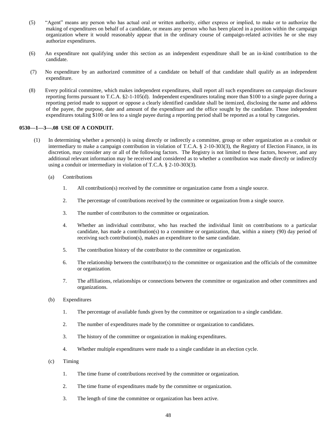- (5) "Agent" means any person who has actual oral or written authority, either express or implied, to make or to authorize the making of expenditures on behalf of a candidate, or means any person who has been placed in a position within the campaign organization where it would reasonably appear that in the ordinary course of campaign-related activities he or she may authorize expenditures.
- (6) An expenditure not qualifying under this section as an independent expenditure shall be an in-kind contribution to the candidate.
- (7) No expenditure by an authorized committee of a candidate on behalf of that candidate shall qualify as an independent expenditure.
- (8) Every political committee, which makes independent expenditures, shall report all such expenditures on campaign disclosure reporting forms pursuant to T.C.A. §2-1-105(d). Independent expenditures totaling more than \$100 to a single payee during a reporting period made to support or oppose a clearly identified candidate shall be itemized, disclosing the name and address of the payee, the purpose, date and amount of the expenditure and the office sought by the candidate. Those independent expenditures totaling \$100 or less to a single payee during a reporting period shall be reported as a total by categories.

## **0530—1—3—.08 USE OF A CONDUIT.**

- (1) In determining whether a person(s) is using directly or indirectly a committee, group or other organization as a conduit or intermediary to make a campaign contribution in violation of T.C.A. § 2-10-303(3), the Registry of Election Finance, in its discretion, may consider any or all of the following factors. The Registry is not limited to these factors, however, and any additional relevant information may be received and considered as to whether a contribution was made directly or indirectly using a conduit or intermediary in violation of T.C.A. § 2-10-303(3).
	- (a) Contributions
		- 1. All contribution(s) received by the committee or organization came from a single source.
		- 2. The percentage of contributions received by the committee or organization from a single source.
		- 3. The number of contributors to the committee or organization.
		- 4. Whether an individual contributor, who has reached the individual limit on contributions to a particular candidate, has made a contribution(s) to a committee or organization, that, within a ninety (90) day period of receiving such contribution(s), makes an expenditure to the same candidate.
		- 5. The contribution history of the contributor to the committee or organization.
		- 6. The relationship between the contributor(s) to the committee or organization and the officials of the committee or organization.
		- 7. The affiliations, relationships or connections between the committee or organization and other committees and organizations.
	- (b) Expenditures
		- 1. The percentage of available funds given by the committee or organization to a single candidate.
		- 2. The number of expenditures made by the committee or organization to candidates.
		- 3. The history of the committee or organization in making expenditures.
		- 4. Whether multiple expenditures were made to a single candidate in an election cycle.
	- (c) Timing
		- 1. The time frame of contributions received by the committee or organization.
		- 2. The time frame of expenditures made by the committee or organization.
		- 3. The length of time the committee or organization has been active.